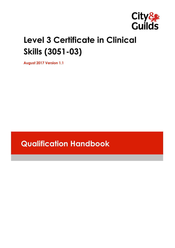

# **Level 3 Certificate in Clinical Skills (3051-03)**

**August 2017 Version 1.1**

**Qualification Handbook**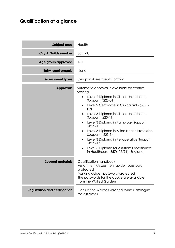## **Qualification at a glance**

| Subject area                          | Health                                                                                                                                                                                                                                                                                                                                                                                                                                                                                                                     |
|---------------------------------------|----------------------------------------------------------------------------------------------------------------------------------------------------------------------------------------------------------------------------------------------------------------------------------------------------------------------------------------------------------------------------------------------------------------------------------------------------------------------------------------------------------------------------|
| <b>City &amp; Guilds number</b>       | 3051-03                                                                                                                                                                                                                                                                                                                                                                                                                                                                                                                    |
| Age group approved                    | $18+$                                                                                                                                                                                                                                                                                                                                                                                                                                                                                                                      |
| <b>Entry requirements</b>             | None                                                                                                                                                                                                                                                                                                                                                                                                                                                                                                                       |
| <b>Assessment types</b>               | Synoptic Assessment; Portfolio                                                                                                                                                                                                                                                                                                                                                                                                                                                                                             |
| <b>Approvals</b>                      | Automatic approval is available for centres<br>offering:<br>Level 2 Diploma in Clinical Healthcare<br>Support (4223-01)<br>Level 2 Certificate in Clinical Skills (3051-<br>02)<br>Level 3 Diploma in Clinical Healthcare<br>Support(4223-11)<br>Level 3 Diploma in Pathology Support<br>$(4223-13)$<br>Level 3 Diploma in Allied Health Profession<br>Support (4223-14)<br>Level 3 Diploma in Perioperative Support<br>$(4223-16)$<br>Level 5 Diploma for Assistant Practitioners<br>in Healthcare (3576-05/91) (England) |
| <b>Support materials</b>              | Qualification handbook<br>Assignment/Assessment guide - password<br>protected<br>Marking guide - password protected<br>The passwords for the above are available<br>from the Walled Garden                                                                                                                                                                                                                                                                                                                                 |
| <b>Registration and certification</b> | Consult the Walled Garden/Online Catalogue<br>for last dates                                                                                                                                                                                                                                                                                                                                                                                                                                                               |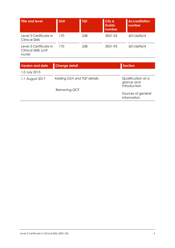| <b>Title and level</b>                                    | <b>GLH</b> | <b>TQT</b> | City &<br><b>Guilds</b><br>number | <b>Accreditation</b><br>number |
|-----------------------------------------------------------|------------|------------|-----------------------------------|--------------------------------|
| Level 3 Certificate in<br><b>Clinical Skills</b>          | 170        | 238        | $3051 - 03$                       | 601/6696/4                     |
| Level 3 Certificate in<br>Clinical Skills (unit<br>route) | 170        | 238        | 3051-93                           | 601/6696/4                     |

| <b>Version and date</b> | <b>Change detail</b>       | <b>Section</b>                                   |
|-------------------------|----------------------------|--------------------------------------------------|
| 1.0 July 2015           |                            |                                                  |
| 1.1 August 2017         | Adding GLH and TQT details | Qualification at a<br>glance and<br>Introduction |
|                         | Removing QCF               |                                                  |
|                         |                            | Sources of general<br>information                |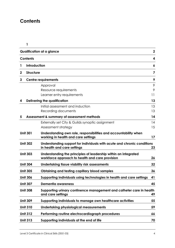## **Contents**

|             |                     | Qualification at a glance                                                                                          | $\mathbf 2$ |
|-------------|---------------------|--------------------------------------------------------------------------------------------------------------------|-------------|
|             | <b>Contents</b>     |                                                                                                                    | 4           |
|             | <b>Introduction</b> |                                                                                                                    | 6           |
| $\mathbf 2$ | <b>Structure</b>    |                                                                                                                    | 7           |
| 3           |                     | <b>Centre requirements</b>                                                                                         | 9           |
|             |                     | Approval                                                                                                           | 9           |
|             |                     | Resource requirements                                                                                              | 9           |
|             |                     | Learner entry requirements                                                                                         | 11          |
| 4           |                     | <b>Delivering the qualification</b>                                                                                | 13          |
|             |                     | Initial assessment and induction                                                                                   | 13          |
|             |                     | Recording documents                                                                                                | 13          |
| 5           |                     | Assessment & summary of assessment methods                                                                         | 14          |
|             |                     | Externally set City & Guilds synoptic assignment                                                                   | 14          |
|             |                     | Assessment strategy                                                                                                | 15          |
|             | <b>Unit 301</b>     | Understanding own role, responsibilities and accountability when<br>working in health and care settings            | 17          |
|             | <b>Unit 302</b>     | Understanding support for individuals with acute and chronic conditions<br>in health and care settings             | 23          |
|             | <b>Unit 303</b>     | Understanding the principles of leadership within an integrated<br>workforce approach to health and care provision | 26          |
|             | <b>Unit 304</b>     | Undertaking tissue viability risk assessments                                                                      | 32          |
|             | <b>Unit 305</b>     | Obtaining and testing capillary blood samples                                                                      | 36          |
|             | <b>Unit 306</b>     | Supporting individuals using technologies in health and care settings                                              | 41          |
|             | <b>Unit 307</b>     | <b>Dementia awareness</b>                                                                                          | 45          |
|             | <b>Unit 308</b>     | Supporting urinary continence management and catheter care in health<br>and care settings                          | 49          |
|             | <b>Unit 309</b>     | Supporting individuals to manage own healthcare activities                                                         | 55          |
|             | <b>Unit 310</b>     | <b>Undertaking physiological measurements</b>                                                                      | 59          |
|             | <b>Unit 312</b>     | Performing routine electrocardiograph procedures                                                                   | 66          |
|             | <b>Unit 313</b>     | Supporting individuals at the end of life                                                                          | 70          |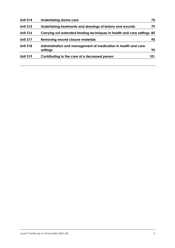| <b>Unit 314</b> | Undertaking stoma care                                                     | 75  |
|-----------------|----------------------------------------------------------------------------|-----|
| <b>Unit 315</b> | Undertaking treatments and dressings of lesions and wounds                 | 79  |
| <b>Unit 316</b> | Carrying out extended feeding techniques in health and care settings 85    |     |
| <b>Unit 317</b> | <b>Removing wound closure materials</b>                                    | 90  |
| <b>Unit 318</b> | Administration and management of medication in health and care<br>settings | 95  |
| <b>Unit 319</b> | Contributing to the care of a deceased person                              | 101 |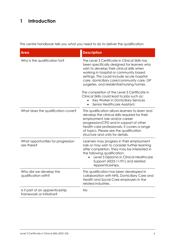## **1 Introduction**

This centre handbook tells you what you need to do to deliver the qualification:

| <b>Area</b>                                                 | <b>Description</b>                                                                                                                                                                                                                                                                                                                                                                                                                                                  |
|-------------------------------------------------------------|---------------------------------------------------------------------------------------------------------------------------------------------------------------------------------------------------------------------------------------------------------------------------------------------------------------------------------------------------------------------------------------------------------------------------------------------------------------------|
| Who is the qualification for?                               | The Level 3 Certificate in Clinical Skills has<br>been specifically designed for learners who<br>wish to develop their clinical skills when<br>working in hospital or community based<br>settings. This could include acute hospital<br>care, domiciliary care/community care, GP<br>surgeries, and residential/nursing homes.<br>The completion of the Level 3 Certificate in<br>Clinical Skills could lead to jobs such as:<br>Key Worker in Domiciliary Services |
| What does the qualification cover?                          | Senior Healthcare Assistant.<br>This qualification allows learners to learn and                                                                                                                                                                                                                                                                                                                                                                                     |
|                                                             | develop the clinical skills required for their<br>employment role and/or career<br>progression/CPD and in support of other<br>health care professionals. It covers a range<br>of topics. Please see the qualification<br>structure and units for details.                                                                                                                                                                                                           |
| What opportunities for progression<br>are there?            | Learners may progress in their employment<br>role or may wish to consider further learning<br>after completion. They may be interested in<br>the following qualification:<br>Level 3 Diploma in Clinical Healthcare<br>Support (4223-11/91) and related<br>Apprenticeships.                                                                                                                                                                                         |
| Who did we develop the<br>qualification with?               | This qualification has been developed in<br>collaboration with NHS, Domiciliary Care and<br>Health and Social Care employers in the<br>related industries.                                                                                                                                                                                                                                                                                                          |
| Is it part of an apprenticeship<br>framework or initiative? | <b>No</b>                                                                                                                                                                                                                                                                                                                                                                                                                                                           |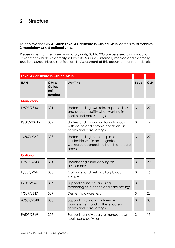## **2 Structure**

To achieve the **City & Guilds Level 3 Certificate in Clinical Skills** learners must achieve **3 mandatory** and **6 optional units**.

Please note that the three mandatory units, 301 to 303 are assessed by a synoptic assignment which is externally set by City & Guilds, internally marked and externally quality assured. Please see Section 4 – Assessment of this document for more details.

| <b>Level 3 Certificate in Clinical Skills</b> |                                           |                                                                                                                          |              |            |
|-----------------------------------------------|-------------------------------------------|--------------------------------------------------------------------------------------------------------------------------|--------------|------------|
| <b>UAN</b>                                    | City &<br><b>Guilds</b><br>unit<br>number | <b>Unit Title</b>                                                                                                        | <b>Level</b> | <b>GLH</b> |
| <b>Mandatory</b>                              |                                           |                                                                                                                          |              |            |
| L/507/23404                                   | 301                                       | Understanding own role, responsibilities<br>and accountability when working in<br>health and care settings               | 3            | 27         |
| R/507/23412                                   | 302                                       | Understanding support for individuals<br>with acute and chronic conditions in<br>health and care settings                | 3            | 17         |
| Y/507/23421                                   | 303                                       | Understanding the principles of<br>leadership within an integrated<br>workforce approach to health and care<br>provision | 3            | 27         |
| <b>Optional</b>                               |                                           |                                                                                                                          |              |            |
| D/507/2343                                    | 304                                       | Undertaking tissue viability risk<br>assessments                                                                         | 3            | 20         |
| H/507/2344                                    | 305                                       | Obtaining and test capillary blood<br>samples                                                                            | 3            | 15         |
| K/507/2345                                    | 306                                       | Supporting individuals using<br>technologies in health and care settings                                                 | 3            | 19         |
| T/507/2347                                    | 307                                       | Dementia awareness                                                                                                       | 3            | 23         |
| A/507/2348                                    | 308                                       | Supporting urinary continence<br>management and catheter care in<br>health and care settings                             | 3            | 33         |
| F/507/2349                                    | 309                                       | Supporting individuals to manage own<br>healthcare activities                                                            | 3            | 15         |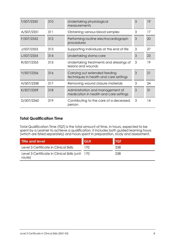| T/507/2350 | 310 | Undertaking physiological<br>measurements                                  | 3 | 19 |
|------------|-----|----------------------------------------------------------------------------|---|----|
| A/507/2351 | 311 | Obtaining venous blood samples                                             | 3 | 17 |
| F/507/2352 | 312 | Performing routine electrocardiograph<br>procedures                        | 3 | 20 |
| J/507/2353 | 313 | Supporting individuals at the end of life                                  | 3 | 27 |
| L/507/2354 | 314 | Undertaking stoma care                                                     | 3 | 23 |
| R/507/2355 | 315 | Undertaking treatments and dressings of<br>lesions and wounds              | 3 | 19 |
| Y/507/2356 | 316 | Carrying out extended feeding<br>techniques in health and care settings    | 3 | 21 |
| H/507/2358 | 317 | Removing wound closure materials                                           | 3 | 24 |
| K/507/2359 | 318 | Administration and management of<br>medication in health and care settings | 3 | 31 |
| D/507/2360 | 319 | Contributing to the care of a deceased<br>person                           | 3 | 14 |

## **Total Qualification Time**

Total Qualification Time (TQT) is the total amount of time, in hours, expected to be spent by a Learner to achieve a qualification. It includes both guided learning hours (which are listed separately) and hours spent in preparation, study and assessment.

| Title and level                                            | <b>GLH</b> | <b>ITQT</b> |
|------------------------------------------------------------|------------|-------------|
| Level 3 Certificate in Clinical Skills                     | 17O        | 238         |
| Level 3 Certificate in Clinical Skills (unit 170<br>route) |            | 238         |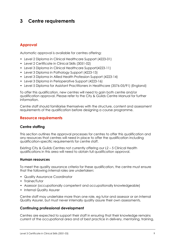## **3 Centre requirements**

## **Approval**

Automatic approval is available for centres offering:

- Level 2 Diploma in Clinical Healthcare Support (4223-01)
- Level 2 Certificate in Clinical Skills (3051-02)
- Level 3 Diploma in Clinical Healthcare Support(4223-11)
- Level 3 Diploma in Pathology Support (4223-13)
- Level 3 Diploma in Allied Health Profession Support (4223-14)
- Level 3 Diploma in Perioperative Support (4223-16)
- Level 5 Diploma for Assistant Practitioners in Healthcare (3576-05/91) (England)

To offer this qualification, new centres will need to gain both centre and/or qualification approval. Please refer to the City & Guilds Centre Manual for further information.

Centre staff should familiarise themselves with the structure, content and assessment requirements of the qualification before designing a course programme.

## **Resource requirements**

## **Centre staffing**

This section outlines the approval processes for centres to offer this qualification and any resources that centres will need in place to offer the qualification including qualification-specific requirements for centre staff.

Existing City & Guilds Centres not currently offering our L2 – 5 Clinical Health qualifications in this area will need to obtain full qualification approval.

### **Human resources**

To meet the quality assurance criteria for these qualification, the centre must ensure that the following internal roles are undertaken:

- Quality Assurance Coordinator
- Trainer/Tutor
- Assessor (occupationally competent and occupationally knowledgeable)
- Internal Quality Assurer

Centre staff may undertake more than one role, eg tutor and assessor or an Internal Quality Assurer, but must never internally quality assure their own assessments.

### **Continuing professional development**

Centres are expected to support their staff in ensuring that their knowledge remains current of the occupational area and of best practice in delivery, mentoring, training,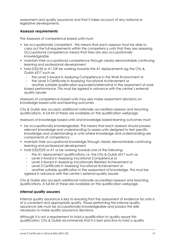assessment and quality assurance and that it takes account of any national or legislative developments.

## *Assessor requirements*

The Assessors of competence based units must:

- be occupationally competent this means that each assessor must be able to carry out the full requirements within the competency units that they are assessing. Occupational competence means that they are also occupationally knowledgeable
- maintain their occupational competence through clearly demonstrable continuing learning and professional development
- hold D32/33 or A1 OR be working towards the A1 replacements eg the City & Guilds 6317 such as:
	- the Level 3 Award in Assessing Competence in the Work Environment or
	- the Level 3 Certificate in Assessing Vocational Achievement or

- another suitable qualification equivalent/alternative in the assessment of work based performance. This must be agreed in advance with the centre's external quality assurer.

Assessors of competence based units may also make assessment decisions on knowledge based units and learning outcomes

City & Guilds also accepts additional nationally accredited assessor and teaching qualifications. A full list of these are available on the qualification webpage.

Assessors of knowledge based units and knowledge based learning outcomes must:

- be occupationally knowledgeable. This means that each assessor should possess relevant knowledge and understanding to assess units designed to test specific knowledge and understanding or units where knowledge and understanding are components of competency
- maintain their occupational knowledge through clearly demonstrable continuing learning and professional development
- hold D32/D33 or A1 or be working towards one of the following:
	- the A1 replacement qualifications i.e. the City & Guilds 6317 such as
	- Level 3 Award in Assessing Vocational Competence or
	- Level 3 Award in Assessing Vocationally Related Achievement or
	- Level 3 Certificate in Assessing Vocational Achievement or

- another suitable qualification in the assessment of knowledge. This must be agreed in advance with the centre's external quality assurer

City & Guilds also accepts additional nationally accredited assessor and teaching qualifications. A full list of these are available on the qualification webpage.

## *Internal quality assurers*

Internal quality assurance is key to ensuring that the assessment of evidence for units is of a consistent and appropriate quality. Those performing the internal quality assurance role must be occupationally knowledgeable and possess the skills necessary to make quality assurance decisions.

Although it is not a requirement to hold a qualification to quality assure this qualification, City & Guilds recommends that it is best practice to hold a quality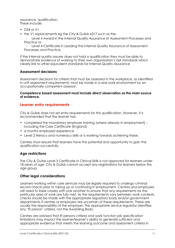assurance qualification. These include:

- $D34$  or  $V1$
- the V1 replacements eg the City & Guilds 6317 such as the:

- Level 4 Award in the Internal Quality Assurance of Assessment Processes and Practice or

- Level 4 Certificate in Leading the Internal Quality Assurance of Assessment Processes and Practice.

If the internal quality assurer does not hold a qualification they must be able to demonstrate evidence of working to their own organisation's QA standards which clearly link to other equivalent standards for Internal Quality Assurance

## **Assessment decisions**

Assessment decisions for criteria that must be assessed in the workplace, as identified in unit assessment requirements, must be made in a real work environment by an occupationally competent assessor.

### **Competence based assessment must include direct observation as the main source of evidence.**

## **Learner entry requirements**

City & Guilds does not set entry requirements for this qualification. However, it is recommended that the learner has:

- completed the mandatory employer training (where already in employment) including the Care Certificate (England)
- 6 months employed experience
- Level 2 literacy and numeracy skills or is working towards achieving these.

Centres must ensure that learners have the potential and opportunity to gain the qualification successfully.

## **Age restrictions**

The City & Guilds Level 3 Certificate in Clinical Skills is not approved for learners under 18 years of age. City & Guilds cannot accept any registrations for learners below this age group.

## **Other legal considerations**

Learners working within care services may be legally required to undergo criminal record checks prior to taking up or continuing in employment. Centres and employers will need to liaise closely with one another to ensure that any requirements for the particular area of work are fully met. As the requirements vary between work contexts, checks should be made with the appropriate regulatory body and/or government departments if centres or employers are uncertain of these requirements. These are usually the responsibility of the employer. The appropriate service regulator identifies any 'fit person' criteria, not the Awarding Body.

Centres are advised that fit persons criteria and work function job specification limitations may impact the learner/learner's ability to generate sufficient and appropriate evidence that meets the learning outcome and assessment criteria in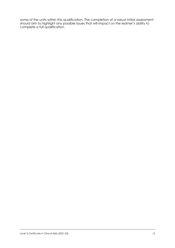some of the units within this qualification. The completion of a robust initial assessment should aim to highlight any possible issues that will impact on the learner's ability to complete a full qualification.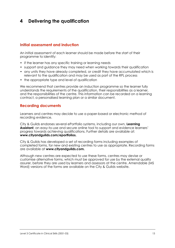## **4 Delivering the qualification**

## **Initial assessment and induction**

An initial assessment of each learner should be made before the start of their programme to identify:

- if the learner has any specific training or learning needs
- support and guidance they may need when working towards their qualification
- any units they have already completed, or credit they have accumulated which is relevant to the qualification and may be used as part of the RPL process
- the appropriate type and level of qualification

We recommend that centres provide an induction programme so the learner fully understands the requirements of the qualification, their responsibilities as a learner, and the responsibilities of the centre. This information can be recorded on a learning contract, a personalised learning plan or a similar document.

## **Recording documents**

Learners and centres may decide to use a paper-based or electronic method of recording evidence.

City & Guilds endorses several ePortfolio systems, including our own, **Learning Assistant**, an easy-to-use and secure online tool to support and evidence learners' progress towards achieving qualifications. Further details are available at: **www.cityandguilds.com/eportfolios.**

City & Guilds has developed a set of recording forms including examples of completed forms, for new and existing centres to use as appropriate. Recording forms are available at **www.cityandguilds.com.**

Although new centres are expected to use these forms, centres may devise or customise alternative forms, which must be approved for use by the external quality assurer, before they are used by learners and assessors at the centre. Amendable (MS Word) versions of the forms are available on the City & Guilds website.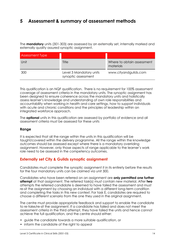## **5 Assessment & summary of assessment methods**

The **mandatory** units (301-303) are assessed by an externally set, internally marked and externally quality assured synoptic assignment.

| <b>Assessment Type</b> |                                                |                                         |
|------------------------|------------------------------------------------|-----------------------------------------|
| Unit                   | Title                                          | Where to obtain assessment<br>materials |
| 300                    | Level 3 Mandatory units<br>synoptic assessment | www.cityandguilds.com                   |

This qualification is an NQF qualification. There is no requirement for 100% assessment coverage of assessment criteria in the mandatory units. The synoptic assignment has been designed to ensure coherence across the mandatory units and holistically assess learner's knowledge and understanding of own role responsibilities and accountability when working in health and care settings, how to support individuals with acute and chronic conditions and the principles of leadership within an integrated workforce approach.

The **optional** units in this qualification are assessed by portfolio of evidence and all assessment criteria must be assessed for these units

## **Range**

It is expected that all the range within the units in this qualification will be taught/covered within the delivery programme. All the range within the knowledge outcomes should be assessed except where there is a mandatory overriding assignment. However, only those aspects of range applicable to the learner's work role need to be assessed in the competency outcomes.

## **Externally set City & Guilds synoptic assignment**

Candidates must complete the synoptic assignment it in its entirety before the results for the four mandatory units can be claimed via unit 300.

Candidates who have been referred on an assignment are **only permitted one further attempt** at that assignment. The referred task(s) must contain new material. After **two** attempts the referred candidate is deemed to have failed the assessment and must re-sit the assignment by choosing an individual with a different long-term condition and completing the tasks in this new context. For task E, candidates are required to choose a different scenario from the one they used in the original assignment.

The centre must provide appropriate feedback and support to enable the candidate to re-take/re-sit the assignment. If a candidate has failed and does not meet the assessment criteria in the third attempt, they have failed the units and hence cannot achieve the full qualification, and the centre should either:

- guide the candidate towards a more suitable qualification, or
- inform the candidate of the right to appeal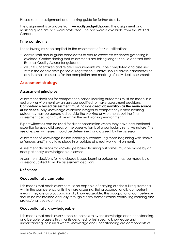Please see the assignment and marking guide for further details.

The assignment is available from **www.cityandguilds.com**. The assignment and marking guide are password protected. The password is available from the Walled Garden.

## **Time constraints**

The following must be applied to the assessment of this qualification:

- centre staff should guide candidates to ensure excessive evidence gathering is avoided. Centres finding that assessments are taking longer, should contact their External Quality Assurer for guidance.
- all units undertaken and related requirements must be completed and assessed within the candidate's period of registration. Centres should advise candidates of any internal timescales for the completion and marking of individual assessments

## **Assessment strategy**

## **Assessment principles**

Assessment decisions for competence based learning outcomes must be made in a real work environment by an assessor qualified to make assessment decisions. **Competence based assessment must include direct observation as the main source of evidence.** Any knowledge evidence integral to competency based learning outcomes may be generated outside the working environment, but the final assessment decisions must be within the real working environment.

Expert witnesses can be used for direct observation where they have occupational expertise for specialist areas or the observation is of a particularly sensitive nature. The use of expert witnesses should be determined and agreed by the assessor.

Assessment of knowledge based learning outcomes (eg those beginning with 'know' or 'understand') may take place in or outside of a real work environment.

Assessment decisions for knowledge based learning outcomes must be made by an occupationally knowledgeable assessor.

Assessment decisions for knowledge based learning outcomes must be made by an assessor qualified to make assessment decisions.

## **Definitions**

## **Occupationally competent**

This means that each assessor must be capable of carrying out the full requirements within the competency units they are assessing. Being occupationally competent means they are also occupationally knowledgeable. This occupational competence should be maintained annually through clearly demonstrable continuing learning and professional development.

## **Occupationally knowledgeable**

This means that each assessor should possess relevant knowledge and understanding, and be able to assess this in units designed to test specific knowledge and understanding, or in units where knowledge and understanding are components of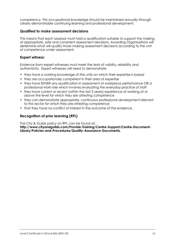competency. This occupational knowledge should be maintained annually through clearly demonstrable continuing learning and professional development.

## **Qualified to make assessment decisions**

This means that each assessor must hold a qualification suitable to support the making of appropriate, safe and consistent assessment decisions. Awarding Organisations will determine what will qualify those making assessment decisions according to the unit of competence under assessment.

## **Expert witness:**

Evidence from expert witnesses must meet the tests of validity, reliability and authenticity. Expert witnesses will need to demonstrate:

- they have a working knowledge of the units on which their expertise is based
- they are occupationally competent in their area of expertise
- they have EITHER any qualification in assessment of workplace performance OR a professional work role which involves evaluating the everyday practice of staff
- they have current or recent (within the last 2 years) experience of working at or above the level for which they are attesting competence
- they can demonstrate appropriate, continuous professional development relevant to the sector for which they are attesting competence
- that they have no conflict of interest in the outcome of the evidence.

## **Recognition of prior learning (RPL)**

The City & Guilds policy on RPL can be found at:

**http://www.cityandguilds.com/Provide-Training/Centre-Support/Centre-Document-Library/Policies-and-Procedures/Quality-Assurance-Documents.**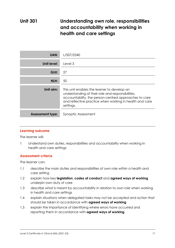## **Unit 301 Understanding own role, responsibilities and accountability when working in health and care settings**

| <b>UAN:</b>             | L/507/2340                                                                                                                                                                                                                        |
|-------------------------|-----------------------------------------------------------------------------------------------------------------------------------------------------------------------------------------------------------------------------------|
| Unit level:             | Level 3                                                                                                                                                                                                                           |
| GLH:                    | 27                                                                                                                                                                                                                                |
| NLH:                    | 50                                                                                                                                                                                                                                |
| Unit aim:               | This unit enables the learner to develop an<br>understanding of their role and responsibilities,<br>accountability, the person-centred approaches to care<br>and reflective practice when working in health and care<br>settings. |
| <b>Assessment type:</b> | Synoptic Assessment                                                                                                                                                                                                               |

## **Learning outcome**

The learner will:

1 Understand own duties, responsibilities and accountability when working in health and care settings

### **Assessment criteria Assessment criteria**

The learner can:

- 1.1 describe the main duties and responsibilities of own role within a health and care setting
- 1.2 explain how key **legislation**, **codes of conduct** and **agreed ways of working** underpin own duty of care
- 1.3 describe what is meant by accountability in relation to own role when working in health and care settings
- 1.4 explain situations when delegated tasks may not be accepted and action that should be taken in accordance with **agreed ways of working**
- 1.5 explain the importance of identifying where errors have occurred and reporting them in accordance with **agreed ways of working.**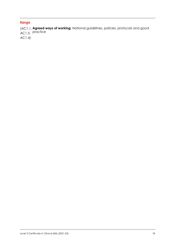**Range Agreed ways of working:** National guidelines, policies, protocols and good (AC1.1, AC1.5, practice AC1.4)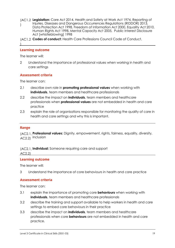- **Legislation:** Care Act 2014, Health and Safety at Work Act 1974, Reporting of (AC1.2 Injuries, Diseases and Dangerous Occurrences Regulations (RIDDOR) 2013, Data Protection Act 1998, Freedom of Information Act 2000, Equality Act 2010, Human Rights Act 1998, Mental Capacity Act 2005, Public Interest Disclosure Act [whistleblowing] 1998 )
- (AC1.2 Codes of conduct: Health Care Professions Council Code of Conduct.

## **Learning outcome**

The learner will:

)

2 Understand the importance of professional values when working in health and care settings

### **Assessment criteria Assessment criteria**

The learner can:

- 2.1 describe own role in **promoting professional values** when working with **individuals**, team members and healthcare professionals
- 2.2 describe the impact on **individuals**, team members and healthcare professionals when **professional values** are not embedded in health and care practice
- 2.3 explain the role of organisations responsible for monitoring the quality of care in health and care settings and why this is important.

**Range Professional values:** Dignity, empowerment, rights, fairness, equality, diversity, (AC2.1, AC2.2) inclusion

**Individual:** Someone requiring care and support (AC2.1, AC2.2)

## **Learning outcome**

The learner will:

3 Understand the importance of core behaviours in health and care practice

### **Assessment criteria Assessment criteria**

The learner can:

- 3.1 explain the importance of promoting core **behaviours** when working with **individuals**, team members and healthcare professionals
- 3.2 describe the training and support available to help workers in health and care settings to embed core behaviours in their practice
- 3.3 describe the impact on **individuals**, team members and healthcare professionals when core **behaviours** are not embedded in health and care practice.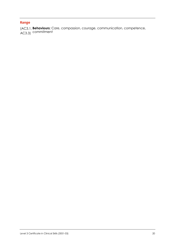**Range Behaviours:** Care, compassion, courage, communication, competence, commitment (AC3.1, AC3.3)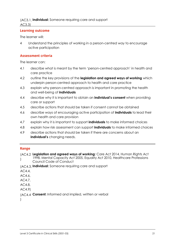## **Individual:** Someone requiring care and support (AC3.1,

AC3.3)

## **Learning outcome**

The learner will:

4 Understand the principles of working in a person-centred way to encourage active participation

### **Assessment criteria Assessment criteria**

The learner can:

- 4.1 describe what is meant by the term 'person-centred approach' in health and care practice
- 4.2 outline the key provisions of the **legislation and agreed ways of working** which underpin person-centred approach to health and care practice
- 4.3 explain why person-centred approach is important in promoting the health and well-being of **individuals**
- 4.4 describe why it is important to obtain an **individual's consent** when providing care or support
- 4.5 describe actions that should be taken if consent cannot be obtained
- 4.6 describe ways of encouraging active participation of **individuals** to lead their own health and care provision
- 4.7 explain why it is important to support **individuals** to make informed choices
- 4.8 explain how risk assessment can support **individuals** to make informed choices
- 4.9 describe actions that should be taken if there are concerns about an **individual's** changing needs.

**Range Legislation and agreed ways of working:** Care Act 2014, Human Rights Act (AC4.2 1998, Mental Capacity Act 2005, Equality Act 2010, Healthcare Professions Council Code of Conduct  $\lambda$ 

**Individual:** Someone requiring care and support (AC4.3,

- AC4.4,
- AC4.6,
- AC4.7,

AC4.8,

AC4.9)

(AC4.4 **Consent:** Informed and implied, written or verbal

 $\lambda$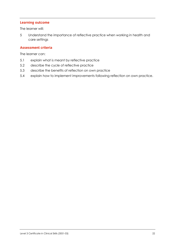## **Learning outcome**

The learner will:

5 Understand the importance of reflective practice when working in health and care settings

### **Assessment criteria Assessment criteria**

The learner can:

- 5.1 explain what is meant by reflective practice
- 5.2 describe the cycle of reflective practice
- 5.3 describe the benefits of reflection on own practice
- 5.4 explain how to implement improvements following reflection on own practice.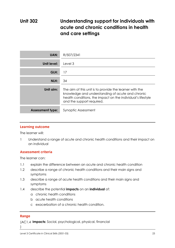## **Unit 302 Understanding support for individuals with acute and chronic conditions in health and care settings**

| <b>UAN:</b>             | R/507/2341                                                                                                                                                                                              |
|-------------------------|---------------------------------------------------------------------------------------------------------------------------------------------------------------------------------------------------------|
| Unit level:             | Level 3                                                                                                                                                                                                 |
| GLH:                    | 17                                                                                                                                                                                                      |
| NLH:                    | 34                                                                                                                                                                                                      |
| Unit aim:               | The aim of this unit is to provide the learner with the<br>knowledge and understanding of acute and chronic<br>health conditions, the impact on the individual's lifestyle<br>and the support required. |
| <b>Assessment type:</b> | Synoptic Assessment                                                                                                                                                                                     |

### **Learning outcome**

The learner will:

1 Understand a range of acute and chronic health conditions and their impact on an individual

### **Assessment criteria**

The learner can:

- 1.1 explain the difference between an acute and chronic health condition
- 1.2 describe a range of chronic health conditions and their main signs and symptoms
- 1.3 describe a range of acute health conditions and their main signs and symptoms
- 1.4 describe the potential **impacts** on an **individual** of:
	- a chronic health conditions
	- b acute health conditions
	- c exacerbation of a chronic health condition.

 $\vert$ 

**Range** (AC1.4 **Impacts:** Social, psychological, physical, financial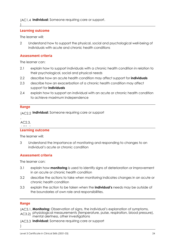## (AC1.4 Individual: Someone requiring care or support.

**Learning outcome** The learner will:

)

2 Understand how to support the physical, social and psychological well-being of individuals with acute and chronic health conditions

### **Assessment criteria Assessment criteria**

The learner can:

- 2.1 explain how to support individuals with a chronic health condition in relation to their psychological, social and physical needs
- 2.2 describe how an acute health condition may affect support for **individuals**
- 2.3 describe how an exacerbation of a chronic health condition may affect support for **individuals**
- 2.4 explain how to support an individual with an acute or chronic health condition to achieve maximum independence

**Range Individual:** Someone requiring care or support (AC2.2

## , AC2.3,  $\frac{1}{2}$

### **Learning outcome**

The learner will:

3 Understand the importance of monitoring and responding to changes to an individual's acute or chronic condition

## **Assessment criteria**

The learner can:

- 3.1 explain how **monitoring** is used to identify signs of deterioration or improvement in an acute or chronic health condition
- 3.2 describe the actions to take when monitoring indicates changes in an acute or chronic health condition
- 3.3 explain the action to be taken when the **individual's** needs may be outside of the boundaries of own role and responsibilities.

## **Range**

)

**Monitoring:** Observation of signs, the individual's explanation of symptoms, (AC3.1,

physiological measurements (temperature, pulse, respiration, blood pressure), AC3.2) mental alertness, other investigations

**Individual:** Someone requiring care or support (AC3.3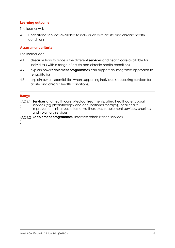## **Learning outcome**

The learner will:

4 Understand services available to individuals with acute and chronic health conditions

### **Assessment criteria Assessment criteria**

The learner can:

- 4.1 describe how to access the different **services and health care** available for individuals with a range of acute and chronic health conditions
- 4.2 explain how **reablement programmes** can support an integrated approach to rehabilitation
- 4.3 explain own responsibilities when supporting individuals accessing services for acute and chronic health conditions.

)

- **Range** (AC4.1 **Services and health care:** Medical treatments, allied healthcare support services (eg physiotherapy and occupational therapy), local health improvement initiatives, alternative therapies, reablement services, charities and voluntary services )
- (AC4.2 Reablement programmes: Intensive rehabilitation services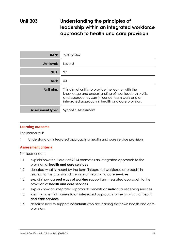## **Unit 303 Understanding the principles of leadership within an integrated workforce approach to health and care provision**

| UAN:                    | Y/507/2342                                                                                                                                                                                                        |
|-------------------------|-------------------------------------------------------------------------------------------------------------------------------------------------------------------------------------------------------------------|
| Unit level:             | Level 3                                                                                                                                                                                                           |
| GLH:                    | 27                                                                                                                                                                                                                |
| NLH:                    | 50                                                                                                                                                                                                                |
| Unit aim:               | This aim of unit is to provide the learner with the<br>knowledge and understanding of how leadership skills<br>and approaches can influence team work and an<br>integrated approach in health and care provision. |
| <b>Assessment type:</b> | Synoptic Assessment                                                                                                                                                                                               |

## **Learning outcome**

The learner will:

1 Understand an integrated approach to health and care service provision

### **Assessment criteria Assessment criteria**

The learner can:

- 1.1 explain how the Care Act 2014 promotes an integrated approach to the provision of **health and care services**
- 1.2 describe what is meant by the term 'integrated workforce approach' in relation to the provision of a range of **health and care services**
- 1.3 explain how **agreed ways of working** support an integrated approach to the provision of **health and care services**
- 1.4 explain how an integrated approach benefits an **individual** receiving services
- 1.5 identify potential barriers to an integrated approach to the provision of **health and care services**
- 1.6 describe how to support **individuals** who are leading their own health and care provision.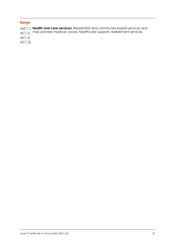**Range Health and care services:** Residential and community-based services and may provide medical, social, healthcare support, reablement services (AC1.1, AC1.2, AC1.3,

AC1.5)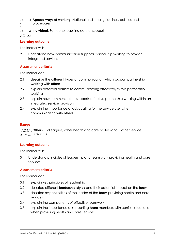**Agreed ways of working:** National and local guidelines, policies and (AC1.3 procedures )

**Individual:** Someone requiring care or support (AC1.4, AC1.6)

## **Learning outcome**

The learner will:

2 Understand how communication supports partnership working to provide integrated services

## **Assessment criteria**

The learner can:

- 2.1 describe the different types of communication which support partnership working with **others**
- 2.2 explain potential barriers to communicating effectively within partnership working
- 2.3 explain how communication supports effective partnership working within an integrated service provision
- 2.4 explain the importance of advocating for the service user when communicating with **others**.

**Range Others:** Colleagues, other health and care professionals, other service (AC2.1, AC2.4) providers

### **Learning outcome**

The learner will:

3 Understand principles of leadership and team work providing health and care services

### **Assessment criteria Assessment criteria**

The learner can:

- 3.1 explain key principles of leadership
- 3.2 describe different **leadership styles** and their potential impact on the **team**
- 3.3 describe responsibilities of the leader of the **team** providing health and care services
- 3.4 explain the components of effective teamwork
- 3.5 explain the importance of supporting **team** members with conflict situations when providing health and care services.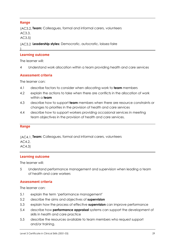**Range Team:** Colleagues, formal and informal carers, volunteers (AC3.2, AC3.3,

AC3.5)

)

**Leadership styles:** Democratic, autocratic, laissez-faire (AC3.2

## **Learning outcome**

The learner will:

4 Understand work allocation within a team providing health and care services

### **Assessment criteria Assessment criteria**

The learner can:

- 4.1 describe factors to consider when allocating work to **team** members
- 4.2 explain the actions to take when there are conflicts in the allocation of work within a **team**
- 4.3 describe how to support **team** members when there are resource constraints or changes to priorities in the provision of health and care services
- 4.4 describe how to support workers providing occasional services in meeting team objectives in the provision of health and care services.

### **Range**

**Team:** Colleagues, formal and informal carers, volunteers (AC4.1, AC4.2,

AC4.3)

## **Learning outcome**

The learner will:

5 Understand performance management and supervision when leading a team of health and care workers

### **Assessment criteria Assessment criteria**

The learner can:

- 5.1 explain the term 'performance management'
- 5.2 describe the aims and objectives of **supervision**
- 5.3 explain how the process of effective **supervision** can improve performance
- 5.4 describe how **performance appraisal** systems can support the development of skills in health and care practice
- 5.5 describe the resources available to team members who request support and/or training.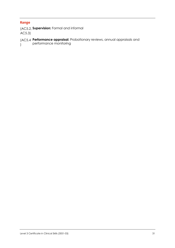**Range** (AC5.2, **Supervision:** Formal and informal AC5.3)

### **Performance appraisal:** Probationary reviews, annual appraisals and (AC5.4 performance monitoring )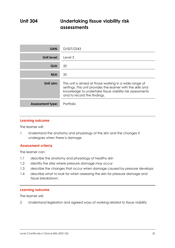## **Unit 304 Undertaking tissue viability risk assessments**

| <b>UAN:</b>             | D/507/2343                                                                                                                                                                                                        |
|-------------------------|-------------------------------------------------------------------------------------------------------------------------------------------------------------------------------------------------------------------|
| Unit level:             | Level 3                                                                                                                                                                                                           |
| GLH:                    | 20                                                                                                                                                                                                                |
| NLH:                    | 35                                                                                                                                                                                                                |
| Unit aim:               | This unit is aimed at those working in a wide range of<br>settings. This unit provides the learner with the skills and<br>knowledge to undertake tissue viability risk assessments<br>and to record the findings. |
| <b>Assessment type:</b> | Portfolio                                                                                                                                                                                                         |

### **Learning outcome**

The learner will:

1 Understand the anatomy and physiology of the skin and the changes it undergoes when there is damage

### **Assessment criteria Assessment criteria**

The learner can:

- 1.1 describe the anatomy and physiology of healthy skin
- 1.2 identify the sites where pressure damage may occur
- 1.3 describe the changes that occur when damage caused by pressure develops
- 1.4 describe what to look for when assessing the skin for pressure damage and tissue breakdown.

### **Learning outcome**

The learner will:

2 Understand legislation and agreed ways of working related to tissue viability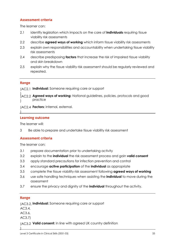## **Assessment criteria**

The learner can:

- 2.1 identify legislation which impacts on the care of **individuals** requiring tissue viability risk assessments
- 2.2 describe **agreed ways of working** which inform tissue viability risk assessments
- 2.3 explain own responsibilities and accountability when undertaking tissue viability risk assessments
- 2.4 describe predisposing **factors** that increase the risk of impaired tissue viability and skin breakdown
- 2.5 explain why the tissue viability risk assessment should be regularly reviewed and repeated.

)

**Range Individual:** Someone requiring care or support (AC2.1

- **Agreed ways of working:** National guidelines, policies, protocols and good practice ) (AC2.2  $\lambda$
- (AC2.4 Factors: Internal, external.

## **Learning outcome**

The learner will:

3 Be able to prepare and undertake tissue viability risk assessment

## **Assessment criteria**

The learner can:

- 3.1 prepare documentation prior to undertaking activity
- 3.2 explain to the **individual** the risk assessment process and gain **valid consent**
- 3.3 apply standard precautions for infection prevention and control
- 3.4 encourage **active participation** of the **individual** as appropriate
- 3.5 complete the tissue viability risk assessment following **agreed ways of working**
- 3.6 use safe handling techniques when assisting the **individual** to move during the assessment
- 3.7 ensure the privacy and dignity of the **individual** throughout the activity.

## **Range**

**Individual:** Someone requiring care or support (AC3.2,

AC3.4,

AC3.6,

AC3.7)

)

(AC3.2 Valid consent: In line with agreed UK country definition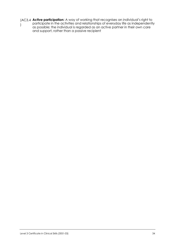**Active participation:** A way of working that recognises an individual's right to participate in the activities and relationships of everyday life as independently as possible; the individual is regarded as an active partner in their own care and support, rather than a passive recipient (AC3.4 )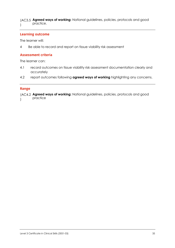**Agreed ways of working:** National guidelines, policies, protocols and good (AC3.5 practice.  $\lambda$ 

## **Learning outcome**

The learner will:

4 Be able to record and report on tissue viability risk assessment

## **Assessment criteria**

The learner can:

- 4.1 record outcomes on tissue viability risk assessment documentation clearly and accurately
- 4.2 report outcomes following **agreed ways of working** highlighting any concerns.

**Range Agreed ways of working:** National guidelines, policies, protocols and good (AC4.2 practice )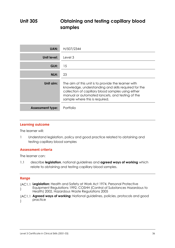## **Unit 305 Obtaining and testing capillary blood samples**

| UAN:                    | H/507/2344                                                                                                                                                                                                                                             |
|-------------------------|--------------------------------------------------------------------------------------------------------------------------------------------------------------------------------------------------------------------------------------------------------|
| Unit level:             | Level 3                                                                                                                                                                                                                                                |
| GLH:                    | 15                                                                                                                                                                                                                                                     |
| NLH:                    | 23                                                                                                                                                                                                                                                     |
| Unit aim:               | The aim of this unit is to provide the learner with<br>knowledge, understanding and skills required for the<br>collection of capillary blood samples using either<br>manual or automated lancets, and testing of the<br>sample where this is required. |
| <b>Assessment type:</b> | Portfolio                                                                                                                                                                                                                                              |

## **Learning outcome**

The learner will:

1 Understand legislation, policy and good practice related to obtaining and testing capillary blood samples

### **Assessment criteria Assessment criteria**

The learner can:

1.1 describe **legislation**, national guidelines and **agreed ways of working** which relate to obtaining and testing capillary blood samples.

## **Range**

- **Legislation:** Health and Safety at Work Act 1974, Personal Protective (AC1.1 Equipment Regulations 1992, COSHH (Control of Substances Hazardous to Health) 2002, Hazardous Waste Regulations 2005 )
- **Agreed ways of working:** National guidelines, policies, protocols and good (AC1.1 practice  $\lambda$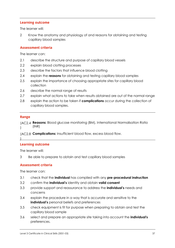The learner will:

2 Know the anatomy and physiology of and reasons for obtaining and testing capillary blood samples

### **Assessment criteria Assessment criteria**

The learner can:

- 2.1 describe the structure and purpose of capillary blood vessels
- 2.2 explain blood clotting processes
- 2.3 describe the factors that influence blood clotting
- 2.4 explain the **reasons** for obtaining and testing capillary blood samples
- 2.5 explain the importance of choosing appropriate sites for capillary blood collection
- 2.6 describe the normal range of results
- 2.7 explain what actions to take when results obtained are out of the normal range
- 2.8 explain the action to be taken if **complications** occur during the collection of capillary blood samples.

# **Range**

**Reasons:** Blood glucose monitoring (BM), International Normalisation Ratio (AC2.4 (INR) )

(AC2.8 **Complications:** Insufficient blood flow, excess blood flow.

## )

## **Learning outcome**

The learner will:

3 Be able to prepare to obtain and test capillary blood samples

# **Assessment criteria**

- 3.1 check that the **individual** has complied with any **pre-procedural instruction**
- 3.2 confirm the **individual's** identity and obtain **valid consent**
- 3.3 provide support and reassurance to address the **individual's** needs and concerns
- 3.4 explain the procedure in a way that is accurate and sensitive to the **individual's** personal beliefs and preferences
- 3.5 check equipment is fit for purpose when preparing to obtain and test the capillary blood sample
- 3.6 select and prepare an appropriate site taking into account the **individual's** preferences.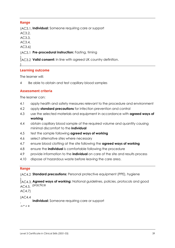**Range Individual:** Someone requiring care or support (AC3.1,

AC3.2,

AC3.3,

AC3.4,

AC3.6)

)

## (AC3.1 Pre-procedural instruction: Fasting, timing

)<br>(AC3.2 **Valid consent:** In line with agreed UK country definition. (AC3.2

## **Learning outcome**

The learner will:

4 Be able to obtain and test capillary blood samples

### **Assessment criteria Assessment criteria**

The learner can:

- 4.1 apply health and safety measures relevant to the procedure and environment
- 4.2 apply **standard precautions** for infection prevention and control
- 4.3 use the selected materials and equipment in accordance with **agreed ways of working**
- 4.4 obtain capillary blood sample of the required volume and quantity causing minimal discomfort to the **individual**
- 4.5 test the sample following **agreed ways of working**
- 4.6 select alternative sites where necessary
- 4.7 ensure blood clotting at the site following the **agreed ways of working**
- 4.8 ensure the **individual** is comfortable following the procedure
- 4.9 provide information to the **individual** on care of the site and results process
- 4.10 dispose of hazardous waste before leaving the care area.

- **Range** (AC4.2 **Standard precautions:** Personal protective equipment (PPE), hygiene
- **Agreed ways of working:** National guidelines, policies, protocols and good AC4.5, practice ) (AC4.3,

AC4.7)

## (AC4.4

**Individual:** Someone requiring care or support

,  $\Delta \cap A$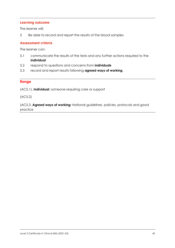The learner will:

5 Be able to record and report the results of the blood samples

# **Assessment criteria**

The learner can:

- 5.1 communicate the results of the tests and any further actions required to the **individual**
- 5.2 respond to questions and concerns from **individuals**
- 5.3 record and report results following **agreed ways of working**.

## **Range**

(AC5.1), **Individual:** someone requiring care or support

(AC5.2)

(AC5.3, **Agreed ways of working:** National guidelines, policies, protocols and good practice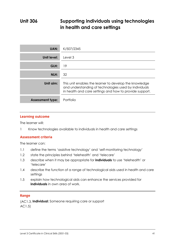## **Unit 306 Supporting individuals using technologies in health and care settings**

| <b>UAN:</b>             | K/507/2345                                                                                                                                                                 |
|-------------------------|----------------------------------------------------------------------------------------------------------------------------------------------------------------------------|
| Unit level:             | Level 3                                                                                                                                                                    |
| GLH:                    | 19                                                                                                                                                                         |
| NLH:                    | 32                                                                                                                                                                         |
| Unit aim:               | This unit enables the learner to develop the knowledge<br>and understanding of technologies used by individuals<br>in health and care settings and how to provide support. |
| <b>Assessment type:</b> | Portfolio                                                                                                                                                                  |

## **Learning outcome**

The learner will:

1 Know technologies available to individuals in health and care settings

# **Assessment criteria**

The learner can:

- 1.1 define the terms 'assistive technology' and 'self-monitoring technology'
- 1.2 state the principles behind 'telehealth' and 'telecare'
- 1.3 describe when it may be appropriate for **individuals** to use 'telehealth' or 'telecare'
- 1.4 describe the function of a range of technological aids used in health and care settings
- 1.5 explain how technological aids can enhance the services provided for **individuals** in own area of work.

**Range** (AC1.3, **Individual:** Someone requiring care or support AC1.5)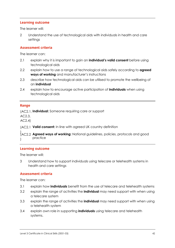The learner will:

2 Understand the use of technological aids with individuals in health and care settings

### **Assessment criteria Assessment criteria**

The learner can:

- 2.1 explain why it is important to gain an **individual's valid consent** before using technological aids
- 2.2 explain how to use a range of technological aids safely according to **agreed ways of working** and manufacturer's instructions
- 2.3 describe how technological aids can be utilised to promote the wellbeing of an **individual**
- 2.4 explain how to encourage active participation of **individuals** when using technological aids

**Range Individual:** Someone requiring care or support (AC2.1,

AC2.3,

AC2.4)

**Valid consent:** In line with agreed UK country definition (AC2.1

)<br>(AC2.2 **Agreed ways of working:** National guidelines, policies, protocols and good ) practice (AC2.2 )

## **Learning outcome**

The learner will:

3 Understand how to support individuals using telecare or telehealth systems in health and care settings

### **Assessment criteria Assessment criteria**

- 3.1 explain how **individuals** benefit from the use of telecare and telehealth systems
- 3.2 explain the range of activities the **individual** may need support with when using a telecare system
- 3.3 explain the range of activities the **individual** may need support with when using a telehealth system
- 3.4 explain own role in supporting **individuals** using telecare and telehealth systems.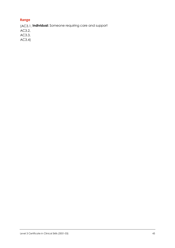**Range** (AC3.1, **Individual:** Someone requiring care and support

AC3.2,

AC3.3,

AC3.4)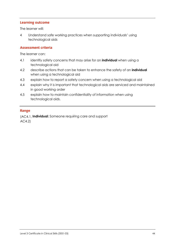The learner will:

4 Understand safe working practices when supporting individuals' using technological aids

### **Assessment criteria Assessment criteria**

The learner can:

- 4.1 identify safety concerns that may arise for an **individual** when using a technological aid
- 4.2 describe actions that can be taken to enhance the safety of an **individual** when using a technological aid
- 4.3 explain how to report a safety concern when using a technological aid
- 4.4 explain why it is important that technological aids are serviced and maintained in good working order
- 4.5 explain how to maintain confidentiality of information when using technological aids.

**Range** (AC4.1, **Individual:** Someone requiring care and support AC4.2)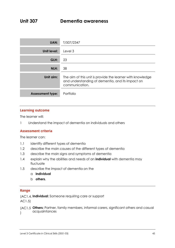## **Unit 307 Dementia awareness**

| <b>UAN:</b>             | T/507/2347                                                                                                                       |
|-------------------------|----------------------------------------------------------------------------------------------------------------------------------|
| Unit level:             | Level 3                                                                                                                          |
| GLH:                    | 23                                                                                                                               |
| NLH:                    | 38                                                                                                                               |
| Unit aim:               | The aim of this unit is provide the learner with knowledge<br>and understanding of dementia, and its impact on<br>communication. |
| <b>Assessment type:</b> | Portfolio                                                                                                                        |

### **Learning outcome**

The learner will:

1 Understand the impact of dementia on individuals and others

### **Assessment criteria Assessment criteria**

The learner can:

- 1.1 identify different types of dementia
- 1.2 describe the main causes of the different types of dementia
- 1.3 describe the main signs and symptoms of dementia
- 1.4 explain why the abilities and needs of an **individual** with dementia may fluctuate
- 1.5 describe the impact of dementia on the
	- a **individual**
	- b **others**.

## **Range**

**Individual:** Someone requiring care or support (AC1.4,

AC1.5)

(AC1.5 Others: Partner, family members, informal carers, significant others and casual acquaintances  $\lambda$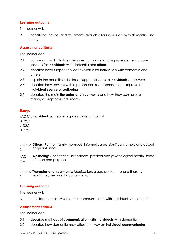The learner will:

2 Understand services and treatments available for individuals' with dementia and others

### **Assessment criteria Assessment criteria**

The learner can:

- 2.1 outline national initiatives designed to support and improve dementia care services for **individuals** with dementia and **others**
- 2.2 describe local support services available for **individuals** with dementia and **others**
- 2.3 explain the benefits of the local support services to **individuals** and **others**
- 2.4 describe how services with a person-centred approach can improve an **individual's** sense of **wellbeing**
- 2.5 describe the main **therapies and treatments** and how they can help to manage symptoms of dementia.

**Range** (AC2.1, **Individual**: Someone requiring care or support

AC2.2,

AC2.3,

AC 2.4)

- **Others:** Partner, family members, informal carers, significant others and casual (AC2.2 acquaintances  $\mathbf{)}$ .
- **Wellbeing:** Confidence, self-esteem, physical and psychological health, sense of hope and purpose  $\overline{\phantom{a}}$  $\overline{)}$ (AC 2.4)
- **Therapies and treatments:** Medication, group and one-to-one therapy, (AC2.5 validation, meaningful occupation.  $\overline{)}$

## **Learning outcome**

The learner will:

3 Understand factors which affect communication with individuals with dementia

# **Assessment criteria**

- 3.1 describe methods of **communication** with **individuals** with dementia
- 3.2 describe how dementia may affect the way an **individual communicates**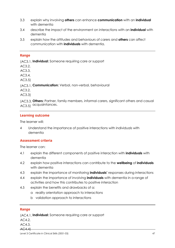- 3.3 explain why involving **others** can enhance **communication** with an **individual** with dementia
- 3.4 describe the impact of the environment on interactions with an **individual** with dementia
- 3.5 explain how the attitudes and behaviours of carers and **others** can affect communication with **individuals** with dementia.

## **Range**

**Individual:** Someone requiring care or support (AC3.1,

AC3.2,

AC3.3, AC3.4,

AC3.5)

(AC3.1, **Communication:** Verbal, non-verbal, behavioural

AC3.2,

AC3.3)

**Others:** Partner, family members, informal carers, significant others and casual (AC3.3, AC3.5) acquaintances.

# **Learning outcome**

The learner will:

4 Understand the importance of positive interactions with individuals with dementia

### **Assessment criteria Assessment criteria**

The learner can:

- 4.1 explain the different components of positive interaction with **individuals** with dementia
- 4.2 explain how positive interactions can contribute to the **wellbeing** of **individuals** with dementia
- 4.3 explain the importance of monitoring **individuals'** responses during interactions
- 4.4 explain the importance of involving **individuals** with dementia in a range of activities and how this contributes to positive interaction
- 4.5 explain the benefits and drawbacks of a:
	- a reality orientation approach to interactions
	- b validation approach to interactions

**Range Individual:** Someone requiring care or support (AC4.1,

AC4.2,

AC4.3,

### AC4.4)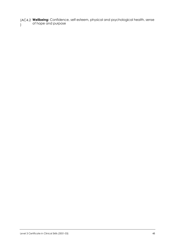**Wellbeing:** Confidence, self-esteem, physical and psychological health, sense of hope and purpose (AC4.2 )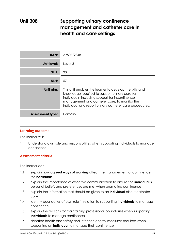## **Unit 308 Supporting urinary continence management and catheter care in health and care settings**

| <b>UAN:</b>             | A/507/2348                                                                                                                                                                                                                                                              |
|-------------------------|-------------------------------------------------------------------------------------------------------------------------------------------------------------------------------------------------------------------------------------------------------------------------|
| Unit level:             | Level 3                                                                                                                                                                                                                                                                 |
| GLH:                    | 33                                                                                                                                                                                                                                                                      |
| NLH:                    | 57                                                                                                                                                                                                                                                                      |
| Unit aim:               | This unit enables the learner to develop the skills and<br>knowledge required to support urinary care for<br>individuals, including support for incontinence<br>management and catheter care, to monitor the<br>individual and report urinary catheter care procedures. |
| <b>Assessment type:</b> | Portfolio                                                                                                                                                                                                                                                               |

## **Learning outcome**

The learner will:

1 Understand own role and responsibilities when supporting individuals to manage continence

### **Assessment criteria Assessment criteria**

- 1.1 explain how **agreed ways of working** affect the management of continence for **individuals**
- 1.2 explain the importance of effective communication to ensure the i**ndividual's** personal beliefs and preferences are met when promoting continence
- 1.3 explain the information that should be given to an **individual** about catheter care
- 1.4 identify boundaries of own role in relation to supporting **individuals** to manage continence
- 1.5 explain the reasons for maintaining professional boundaries when supporting **individuals** to manage continence
- 1.6 describe health and safety and infection control measures required when supporting an **individual** to manage their continence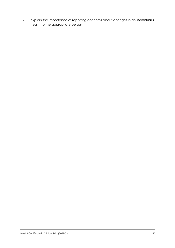1.7 explain the importance of reporting concerns about changes in an i**ndividual's** health to the appropriate person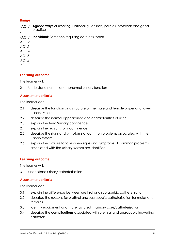**Range Agreed ways of working:** National guidelines, policies, protocols and good (AC1.1 practice )

- **Individual:** Someone requiring care or support (AC1.1,
- AC1.2,
- AC1.3,
- AC1.4,
- AC1.5,
- AC1.6,
- $AC1.7$
- 

### **Learning outcome**

The learner will:

2 Understand normal and abnormal urinary function

### **Assessment criteria Assessment criteria**

The learner can:

- 2.1 describe the function and structure of the male and female upper and lower urinary system
- 2.2 describe the normal appearance and characteristics of urine
- 2.3 explain the term 'urinary continence'
- 2.4 explain the reasons for incontinence
- 2.5 describe the signs and symptoms of common problems associated with the urinary system
- 2.6 explain the actions to take when signs and symptoms of common problems associated with the urinary system are identified

### **Learning outcome**

The learner will:

3 understand urinary catheterisation

# **Assessment criteria**

- 3.1 explain the difference between urethral and suprapubic catheterisation
- 3.2 describe the reasons for urethral and suprapubic catheterisation for males and females
- 3.3 identify equipment and materials used in urinary care/catheterisation
- 3.4 describe the **complications** associated with urethral and suprapubic indwelling catheters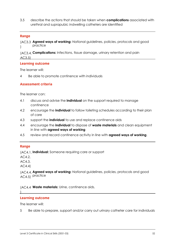3.5 describe the actions that should be taken when **complications** associated with urethral and suprapubic indwelling catheters are identified

**Range Agreed ways of working:** National guidelines, policies, protocols and good (AC3.3 practice  $\lambda$ 

**Complications:** Infections, tissue damage, urinary retention and pain (AC3.4, AC3.5)

# **Learning outcome**

The learner will:

4 Be able to promote continence with individuals

### **Assessment criteria**

The learner can:

- 4.1 discuss and advise the **individual** on the support required to manage continence
- 4.2 encourage the **individual** to follow toileting schedules according to their plan of care
- 4.3 support the **individual** to use and replace continence aids
- 4.4 encourage the **individual** to dispose of **waste materials** and clean equipment in line with **agreed ways of working**
- 4.5 review and record continence activity in line with **agreed ways of working**.

# **Range**

**Individual:** Someone requiring care or support (AC4.1,

AC4.2,

AC4.3,

AC4.4)

 $\vert$ 

**Agreed ways of working:** National guidelines, policies, protocols and good (AC4.4, AC4.5) practice

(AC4.4 Waste materials: Urine, continence aids.

## **Learning outcome**

The learner will:

5 Be able to prepare, support and/or carry out urinary catheter care for individuals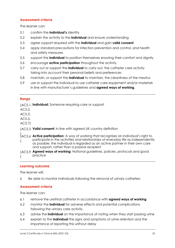# **Assessment criteria**

The learner can:

- 5.1 confirm the **individual's** identity
- 5.2 explain the activity to the **individual** and ensure understanding
- 5.3 agree support required with the **individual** and gain **valid consent**
- 5.4 apply standard precautions for infection prevention and control, and health and safety measures
- 5.5 support the **individual** to position themselves ensuring their comfort and dignity
- 5.6 encourage **active participation** throughout the activity
- 5.7 carry out or support the **individual** to carry out, the catheter care activity taking into account their personal beliefs and preferences
- 5.8 maintain, or support the **individual** to maintain, the cleanliness of the meatus
- 5.9 use or support the individual to use catheter care equipment and/or materials in line with manufacturer's guidelines and **agreed ways of working**.

## **Range**

**Individual:** Someone requiring care or support (AC5.1,

AC5.2,

AC5.3,

AC5.5,

AC5.7)

- (AC5.3 Valid consent: In line with agreed UK country definition
- )<br>(AC5.6 **Active participation:** A way of working that recognises an individual's right to participate in the activities and relationships of everyday life as independently as possible; the individual is regarded as an active partner in their own care and support, rather than a passive recipient (AC5.6 )
- **Agreed ways of working:** National guidelines, policies, protocols and good (AC5.9 practice )

# **Learning outcome**

The learner will:

6 Be able to monitor individuals following the removal of urinary catheters

# **Assessment criteria**

- 6.1 remove the urethral catheter in accordance with **agreed ways of working**
- 6.2 monitor the **individual** for adverse effects and potential complications following the urinary care activity
- 6.3 advise the **individual** on the importance of noting when they start passing urine
- 6.4 explain to the **individual** the signs and symptoms of urine retention and the importance of reporting this without delay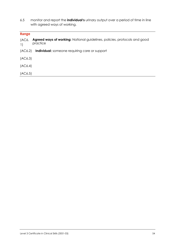6.5 monitor and report the **individual's** urinary output over a period of time in line with agreed ways of working.

## **Range**

| (AC6.<br>$\left  \right $ | <b>Agreed ways of working:</b> National guidelines, policies, protocols and good<br>practice |
|---------------------------|----------------------------------------------------------------------------------------------|
|                           | (AC6.2) Individual: someone requiring care or support                                        |
| (AC6.3)                   |                                                                                              |
| (AC6.4)                   |                                                                                              |
| (AC6.5)                   |                                                                                              |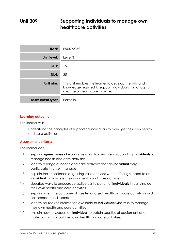## **Unit 309 Supporting individuals to manage own healthcare activities**

| <b>UAN:</b>             | F/507/2349                                                                                                                                            |
|-------------------------|-------------------------------------------------------------------------------------------------------------------------------------------------------|
| Unit level:             | Level 3                                                                                                                                               |
| GLH:                    | 15                                                                                                                                                    |
| NLH:                    | 25                                                                                                                                                    |
| Unit aim:               | This unit enables the learner to develop the skills and<br>knowledge required to support individuals in managing<br>a range of healthcare activities. |
| <b>Assessment type:</b> | Portfolio                                                                                                                                             |

## **Learning outcome**

The learner will:

1 Understand the principles of supporting individuals to manage their own health and care activities

### **Assessment criteria Assessment criteria**

- 1.1 explain **agreed ways of working** relating to own role in supporting **individuals** to manage health and care activities
- 1.2 identify a range of health and care activities that an **individual** may participate in or self-manage
- 1.3 explain the importance of gaining valid consent when offering support to an **individual** to manage their own health and care activities
- 1.4 describe ways to encourage active participation of **individuals** in carrying out their own health and care activities
- 1.5 explain when the outcome of a self-managed health and care activity should be recorded and reported
- 1.6 identify sources of information available to **individuals** who wish to manage their own health and care activities
- 1.7 explain how to support an **individual** to obtain supplies of equipment and materials to carry out their own health and care activities.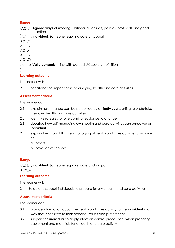**Range Agreed ways of working:** National guidelines, policies, protocols and good (AC1.1 practice )

**Individual:** Someone requiring care or support (AC1.1,

- AC1.2,
- AC1.3,
- AC1.4,
- AC1.6,
- AC1.7)

 $\mathbf{I}$ 

**Valid consent:** In line with agreed UK country definition (AC1.3

## **Learning outcome**

The learner will:

2 Understand the impact of self-managing health and care activities

# **Assessment criteria**

The learner can:

- 2.1 explain how change can be perceived by an **individual** starting to undertake their own health and care activities
- 2.2 identify strategies for overcoming resistance to change
- 2.3 describe how self-managing own health and care activities can empower an **individual**
- 2.4 explain the impact that self-managing of health and care activities can have on:
	- a others
	- b provision of services.

**Range Individual:** Someone requiring care and support (AC2.1,

AC2.3)

## **Learning outcome**

The learner will:

3 Be able to support individuals to prepare for own health and care activities

## **Assessment criteria**

- 3.1 provide information about the health and care activity to the **individual** in a way that is sensitive to their personal values and preferences
- 3.2 support the **individual** to apply infection control precautions when preparing equipment and materials for a health and care activity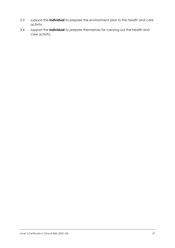- 3.3 support the **individual** to prepare the environment prior to the health and care activity
- 3.4 support the **individual** to prepare themselves for carrying out the health and care activity.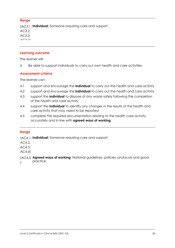**Range Individual:** Someone requiring care and support (AC3.1, AC3.2, AC3.3,  $\Lambda$   $\cap$   $\Omega$   $\Lambda$ 

### **Learning outcome**

The learner will:

4 Be able to support individuals to carry out own health and care activities

### **Assessment criteria Assessment criteria**

The learner can:

- 4.1 support and encourage the **individual** to carry out the health and care activity
- 4.2 support and encourage the **individual** to carry out the health and care activity
- 4.3 support the **individual** to dispose of any waste safely following the completion of the health and care activity
- 4.4 support the **individual** to identify any changes in the results of the health and care activity that may need to be reported
- 4.5 complete the required documentation relating to the health care activity accurately and in line with **agreed ways of working**.

## **Range**

**Individual:** Someone requiring care and support (AC4.1,

AC4.2,

AC4.3,

AC4.4)

**Agreed ways of working:** National guidelines, policies, protocols and good (AC4.5 practice.  $\overline{ }$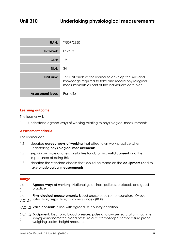| UAN:                    | T/507/2350                                                                                                                                                            |
|-------------------------|-----------------------------------------------------------------------------------------------------------------------------------------------------------------------|
| Unit level:             | Level 3                                                                                                                                                               |
| GLH:                    | 19                                                                                                                                                                    |
| NLH:                    | 34                                                                                                                                                                    |
| Unit aim:               | This unit enables the learner to develop the skills and<br>knowledge required to take and record physiological<br>measurements as part of the individual's care plan. |
| <b>Assessment type:</b> | Portfolio                                                                                                                                                             |

The learner will:

1 Understand agreed ways of working relating to physiological measurements

### **Assessment criteria Assessment criteria**

The learner can:

- 1.1 describe **agreed ways of working** that affect own work practice when undertaking **physiological measurements**
- 1.2 explain own role and responsibilities for obtaining **valid consent** and the importance of doing this
- 1.3 describe the standard checks that should be made on the **equipment** used to take **physiological measurements**.

## **Range**

- **Agreed ways of working:** National guidelines, policies, protocols and good (AC1.1 practice )
- **Physiological measurements:** Blood pressure, pulse, temperature, Oxygen (AC1.1,  $AC1.3$ ) saturation, respiration, body mass index (BMI)
- **Valid consent:** In line with agreed UK country definition (AC1.2

)<br>(AC1.3 **Equipment:** Electronic blood pressure, pulse and oxygen saturation machine, sphygmomanometer, blood pressure cuff, stethoscope, temperature probe, weighing scales, height measure. (AC1.3 )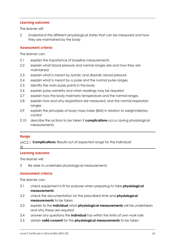The learner will:

2 Understand the different physiological states that can be measured and how they are maintained by the body

### **Assessment criteria Assessment criteria**

The learner can:

- 2.1 explain the importance of baseline measurements
- 2.2 explain what blood pressure and normal ranges are and how they are maintained
- 2.3 explain what is meant by systolic and diastolic blood pressure
- 2.4 explain what is meant by a pulse and the normal pulse ranges
- 2.5 identify the main pulse points in the body
- 2.6 explain pulse oximetry and when readings may be required
- 2.7 explain how the body maintains temperature and the normal ranges
- 2.8 explain how and why respirations are measured, and the normal respiration ranges
- 2.9 explain the principles of body mass index (BMI) in relation to weight/dietary control
- 2.10 describe the actions to be taken if **complications** occur during physiological measurements.

**Range Complications:** Results out of expected range for the individual (AC2.1 0)

## **Learning outcome**

The learner will:

3 Be able to undertake physiological measurements

### **Assessment criteria Assessment criteria**

- 3.1 check equipment is fit for purpose when preparing to take **physiological measurements**
- 3.2 check the documentation for the prescribed time and **physiological measurements** to be taken
- 3.3 explain to the **individual** what **physiological measurements** will be undertaken and why these are required
- 3.4 answer any questions the **individual** has within the limits of own work role
- 3.5 obtain **valid consent** for the **physiological measurements** to be taken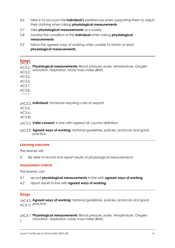- 3.6 take in to account the **individual's** preferences when supporting them to adjust their clothing when taking **physiological measurements**
- 3.7 take **physiological measurements** accurately
- 3.8 monitor the condition of the **individual** when taking **physiological measurements**
- 3.9 follow the agreed ways of working when unable to obtain or read **physiological measurements**.

**Range** (AC3.1, AC3.2, Physiological measurements: Blood pressure, pulse, temperature, Oxygen saturation, respiration, body mass index (BMI) AC3.3, AC3.5, AC3.6, AC3.7, AC3.8, . . . . .

(AC3.3, **Individual:** Someone requiring care or support

AC3.4,

AC3.6,

AC3.8)

- **Valid consent:** In line with agreed UK country definition (AC3.5
- **Agreed ways of working:** National guidelines, policies, protocols and good practice.  $\overline{\phantom{a}}$ (AC3.9

## **Learning outcome**

The learner will:

4 Be able to record and report results of physiological measurements

# **Assessment criteria**

The learner can:

- 4.1 record **physiological measurements** in line with **agreed ways of working**
- 4.2 report results in line with **agreed ways of working**.

# **Range**

**Agreed ways of working:** National guidelines, policies, protocols and good (AC4.2, AC4.1) practice

**Physiological measurements:** Blood pressure, pulse, temperature, Oxygen (AC4.1 saturation, respiration, body mass index (BMI). )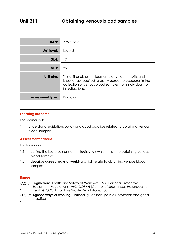| <b>UAN:</b>             | A/507/2351                                                                                                                                                                                    |
|-------------------------|-----------------------------------------------------------------------------------------------------------------------------------------------------------------------------------------------|
| <b>Unit level:</b>      | Level 3                                                                                                                                                                                       |
| GLH:                    | 17                                                                                                                                                                                            |
| NLH:                    | 26                                                                                                                                                                                            |
| Unit aim:               | This unit enables the learner to develop the skills and<br>knowledge required to apply agreed procedures in the<br>collection of venous blood samples from individuals for<br>investigations. |
| <b>Assessment type:</b> | Portfolio                                                                                                                                                                                     |

The learner will:

1 Understand legislation, policy and good practice related to obtaining venous blood samples

# **Assessment criteria**

The learner can:

- 1.1 outline the key provisions of the **legislation** which relate to obtaining venous blood samples
- 1.2 describe **agreed ways of working** which relate to obtaining venous blood samples.

## **Range**

- **Legislation:** Health and Safety at Work Act 1974, Personal Protective (AC1.1 Equipment Regulations 1992, COSHH (Control of Substances Hazardous to Health) 2002, Hazardous Waste Regulations, 2005 )
- **Agreed ways of working:** National guidelines, policies, protocols and good (AC1.2 practice  $\left( \right)$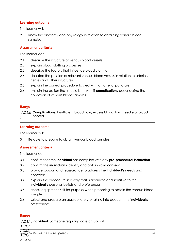The learner will:

2 Know the anatomy and physiology in relation to obtaining venous blood samples

### **Assessment criteria Assessment criteria**

The learner can:

- 2.1 describe the structure of venous blood vessels
- 2.2 explain blood clotting processes
- 2.3 describe the factors that influence blood clotting
- 2.4 describe the position of relevant venous blood vessels in relation to arteries, nerves and other structures
- 2.5 explain the correct procedure to deal with an arterial puncture
- 2.6 explain the action that should be taken if **complications** occur during the collection of venous blood samples.

**Range Complications:** Insufficient blood flow, excess blood flow, needle or blood (AC2.6 phobia.  $\lambda$ 

## **Learning outcome**

The learner will:

3 Be able to prepare to obtain venous blood samples

### **Assessment criteria Assessment criteria**

The learner can:

- 3.1 confirm that the **individual** has complied with any **pre-procedural instruction**
- 3.2 confirm the **individual's** identity and obtain **valid consent**
- 3.3 provide support and reassurance to address the **individual's** needs and concerns
- 3.4 explain the procedure in a way that is accurate and sensitive to the **individual's** personal beliefs and preferences
- 3.5 check equipment is fit for purpose when preparing to obtain the venous blood sample
- 3.6 select and prepare an appropriate site taking into account the **individual's** preferences.

**Range Individual:** Someone requiring care or support (AC3.1,

AC3.2,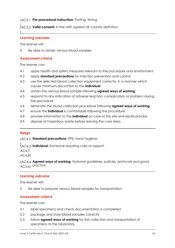## (AC3.1 Pre-procedural instruction: Fasting, timing

)<br>(AC3.2 **Valid consent:** In line with agreed UK country definition. (AC3.2

# **Learning outcome**

The learner will:

)

4 Be able to obtain venous blood samples

### **Assessment criteria Assessment criteria**

The learner can:

- 4.1 apply health and safety measures relevant to the procedure and environment
- 4.2 apply **standard precautions** for infection prevention and control
- 4.3 use the selected blood collection equipment correctly, in a manner which causes minimum discomfort to the **individual**
- 4.4 obtain the venous blood sample following **agreed ways of working**
- 4.5 respond to any indication of adverse reaction, complication or problem during the procedure
- 4.6 terminate the blood collection procedure following **agreed ways of working**
- 4.7 ensure the **individual** is comfortable following the procedure
- 4.8 provide information to the **individual** on care of the site and results process
- 4.9 dispose of hazardous waste before leaving the care area.

**Range** (AC4.2 **Standard precautions:** PPE, hand hygiene

)<br>(AC4.3, **Individual:** Someone requiring care or support (AC4.3,

AC4.7,

AC4.8)

**Agreed ways of working:** National guidelines, policies, protocols and good (AC4.4, AC4.6) practice

# **Learning outcome**

The learner will:

5 Be able to prepare venous blood samples for transportation

### **Assessment criteria Assessment criteria**

- 5.1 label specimens and check documentation is completed
- 5.2 package and store blood samples correctly
- 5.3 follow **agreed ways of working** for the collection and transportation of specimens to the laboratory.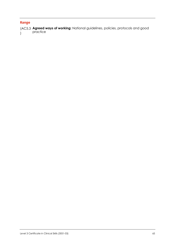**Range Agreed ways of working:** National guidelines, policies, protocols and good (AC5.3 practice )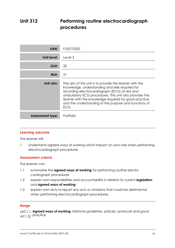## **Unit 312 Performing routine electrocardiograph procedures**

| UAN:                    | F/507/2352                                                                                                                                                                                                                                                                                                                                        |
|-------------------------|---------------------------------------------------------------------------------------------------------------------------------------------------------------------------------------------------------------------------------------------------------------------------------------------------------------------------------------------------|
| Unit level:             | Level 3                                                                                                                                                                                                                                                                                                                                           |
| GLH:                    | 20                                                                                                                                                                                                                                                                                                                                                |
| NLH:                    | 21                                                                                                                                                                                                                                                                                                                                                |
| Unit aim:               | The aim of this unit is to provide the learner with the<br>knowledge, understanding and skills required for<br>recording electrocardiograph (ECG) at rest and<br>ambulatory ECG procedures. This unit also provides the<br>learner with the knowledge required for good practice<br>and the understanding of the purpose and functions of<br>ECG. |
| <b>Assessment type:</b> | Portfolio                                                                                                                                                                                                                                                                                                                                         |

## **Learning outcome**

The learner will:

1 Understand agreed ways of working which impact on own role when performing electrocardiograph procedures

### **Assessment criteria Assessment criteria**

The learner can:

- 1.1 summarise the **agreed ways of working** for performing routine electro cardiograph procedures
- 1.2 explain own responsibilities and accountability in relation to current **legislation** and **agreed ways of working**
- 1.3 explain own duty to report any acts or omissions that could be detrimental when performing electrocardiograph procedures.

## **Range**

**Agreed ways of working:** National guidelines, policies, protocols and good (AC1.1, AC1.2) practice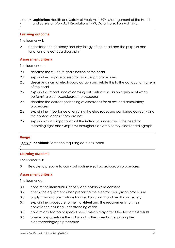The learner will:

2 Understand the anatomy and physiology of the heart and the purpose and functions of electrocardiographs

# **Assessment criteria**

The learner can:

- 2.1 describe the structure and function of the heart
- 2.2 explain the purpose of electrocardiograph procedures
- 2.3 describe a normal electrocardiograph and relate this to the conduction system of the heart
- 2.4 explain the importance of carrying out routine checks on equipment when performing electrocardiograph procedures
- 2.5 describe the correct positioning of electrodes for at rest and ambulatory procedures
- 2.6 explain the importance of ensuring the electrodes are positioned correctly and the consequences if they are not
- 2.7 explain why it is important that the **individual** understands the need for recording signs and symptoms throughout an ambulatory electrocardiograph.

)

**Range Individual:** Someone requiring care or support (AC2.7

# **Learning outcome**

The learner will:

3 Be able to prepare to carry out routine electrocardiograph procedures

### **Assessment criteria Assessment criteria**

- 3.1 confirm the **individual's** identity and obtain **valid consent**
- 3.2 check the equipment when preparing the electrocardiograph procedure
- 3.3 apply standard precautions for infection control and health and safety
- 3.4 explain the procedure to the **individual** and the requirements for their compliance ensuring understanding of this
- 3.5 confirm any factors or special needs which may affect the test or test results
- 3.6 answer any questions the individual or the carer has regarding the electrocardiograph procedure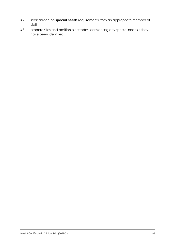- 3.7 seek advice on **special needs** requirements from an appropriate member of staff
- 3.8 prepare sites and position electrodes, considering any special needs if they have been identified.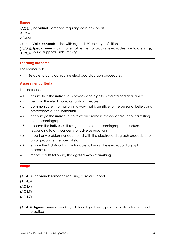**Range Individual:** Someone requiring care or support (AC3.1,

AC3.4,

AC3.6)

**Valid consent:** In line with agreed UK country definition (AC3.1

JAC3.5, Special needs: Using alternative sites for placing electrodes due to dressings,  $\rm AC3.8$ ) sound supports, limbs missing.

# **Learning outcome**

The learner will:

4 Be able to carry out routine electrocardiograph procedures

# **Assessment criteria**

The learner can:

- 4.1 ensure that the **individual's** privacy and dignity is maintained at all times
- 4.2 perform the electrocardiograph procedure
- 4.3 communicate information in a way that is sensitive to the personal beliefs and preferences of the **individual**
- 4.4 encourage the **individual** to relax and remain immobile throughout a resting electrocardiograph
- 4.5 observe the **individual** throughout the electrocardiograph procedure, responding to any concerns or adverse reactions
- 4.6 report any problems encountered with the electrocardiograph procedure to an appropriate member of staff
- 4.7 ensure the **individual** is comfortable following the electrocardiograph procedure
- 4.8 record results following the **agreed ways of working**.

### **Range**

- (AC4.1), **Individual:** someone requiring care or support
- (AC4.3)
- (AC4.4)
- (AC4.5)
- (AC4.7)
- (AC4.8), **Agreed ways of working:** National guidelines, policies, protocols and good practice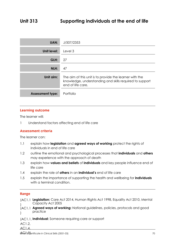| <b>UAN:</b>             | J/507/2353                                                                                                                              |
|-------------------------|-----------------------------------------------------------------------------------------------------------------------------------------|
| Unit level:             | Level 3                                                                                                                                 |
| GLH:                    | 27                                                                                                                                      |
| NLH:                    | 47                                                                                                                                      |
| Unit aim:               | The aim of this unit is to provide the learner with the<br>knowledge, understanding and skills required to support<br>end of life care. |
| <b>Assessment type:</b> | Portfolio                                                                                                                               |

The learner will:

1 Understand factors affecting end of life care

### **Assessment criteria Assessment criteria**

The learner can:

- 1.1 explain how **legislation** and **agreed ways of working** protect the rights of individuals in end of life care
- 1.2 outline the emotional and psychological processes that **individuals** and **others**  may experience with the approach of death
- 1.3 explain how **values and beliefs** of **individuals** and key people influence end of life care
- 1.4 explain the role of **others** in an **individual's** end of life care
- 1.5 explain the importance of supporting the health and wellbeing for **individuals**  with a terminal condition.

## **Range**

- **Legislation:** Care Act 2014, Human Rights Act 1998, Equality Act 2010, Mental (AC1.1 Capacity Act 2005 )
- **Agreed ways of working:** National guidelines, policies, protocols and good (AC1.1 practice  $\lambda$

**Individual:** Someone requiring care or support (AC1.1,

AC1.2,

AC1.4,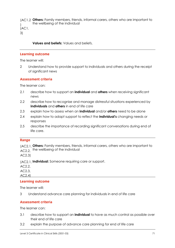**Others:** Family members, friends, informal carers, others who are important to (AC1.2 the wellbeing of the individual )

(AC1.

3)

**Values and beliefs:** Values and beliefs.

## **Learning outcome**

The learner will:

2 Understand how to provide support to individuals and others during the receipt of significant news

### **Assessment criteria Assessment criteria**

The learner can:

- 2.1 describe how to support an **individual** and **others** when receiving significant news
- 2.2 describe how to recognise and manage distressful situations experienced by **individuals** and **others** in end of life care
- 2.3 explain how to assess when an **individual** and/or **others** need to be alone
- 2.4 explain how to adapt support to reflect the **individual's** changing needs or responses
- 2.5 describe the importance of recording significant conversations during end of life care.

**Range Others:** Family members, friends, informal carers, others who are important to (AC2.1,  $AC2.2$ , the wellbeing of the individual

AC2.3)

(AC2.1, Individual: Someone requiring care or support.

 $AC2.2$ 

AC2.3,

AC2.4)

## **Learning outcome**

The learner will:

3 Understand advance care planning for individuals in end of life care

### **Assessment criteria Assessment criteria**

- 3.1 describe how to support an **individual** to have as much control as possible over their end of life care
- 3.2 explain the purpose of advance care planning for end of life care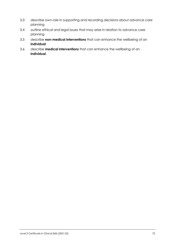- 3.3 describe own role in supporting and recording decisions about advance care planning
- 3.4 outline ethical and legal issues that may arise in relation to advance care planning
- 3.5 describe **non-medical interventions** that can enhance the wellbeing of an **individual**
- 3.6 describe **medical interventions** that can enhance the wellbeing of an **individual**.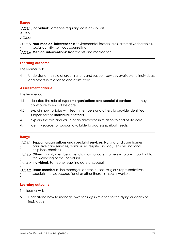**Range Individual:** Someone requiring care or support (AC3.1,

AC3.5,

AC3.6)

)

**Non-medical interventions:** Environmental factors, aids, alternative therapies, (AC3.5 social activity, spiritual, counselling )

**Medical interventions:** Treatments and medication. (AC3.6

# **Learning outcome**

The learner will:

4 Understand the role of organisations and support services available to individuals and others in relation to end of life care

#### **Assessment criteria Assessment criteria**

The learner can:

- 4.1 describe the role of **support organisations and specialist services** that may contribute to end of life care
- 4.2 explain how to liaise with **team members** and **others** to provide identified support for the **individual** or **others**
- 4.3 explain the role and value of an advocate in relation to end of life care
- 4.4 identify sources of support available to address spiritual needs.

- **Range** (AC4.1 Support organisations and specialist services: Nursing and care homes, palliative care services, domiciliary, respite and day services, national helplines, charities **Others:** Family members, friends, informal carers, others who are important to (AC4.2  $\lambda$
- the wellbeing of the individual **Individual:** Someone requiring care or support (AC4.2 )
- **Team members:** Line manager, doctor, nurses, religious representatives, specialist nurse, occupational or other therapist, social worker. ) (AC4.2 )

### **Learning outcome**

The learner will:

5 Understand how to manage own feelings in relation to the dying or death of individuals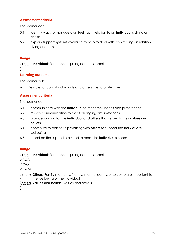# **Assessment criteria**

The learner can:

- 5.1 identify ways to manage own feelings in relation to an **individual's** dying or death
- 5.2 explain support systems available to help to deal with own feelings in relation dying or death.

 $\mathcal{L}$ 

**Range** (AC5.1 Individual: Someone requiring care or support.

#### **Learning outcome**

The learner will:

6 Be able to support individuals and others in end of life care

#### **Assessment criteria Assessment criteria**

The learner can:

- 6.1 communicate with the **individual** to meet their needs and preferences
- 6.2 review communication to meet changing circumstances
- 6.3 provide support for the **individual** and **others** that respects their **values and beliefs**
- 6.4 contribute to partnership working with **others** to support the **individual's** wellbeing
- 6.5 report on the support provided to meet the **individual's** needs

**Range Individual:** Someone requiring care or support (AC6.1,

AC6.3,

AC6.4,

- AC6.5)
- **Others:** Family members, friends, informal carers, others who are important to (AC6.3 the wellbeing of the individual  $\lambda$
- (AC6.3 Values and beliefs: Values and beliefs.

)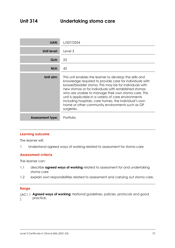| <b>UAN:</b>             | L/507/2354                                                                                                                                                                                                                                                                                                                                                                                                                                                                    |  |
|-------------------------|-------------------------------------------------------------------------------------------------------------------------------------------------------------------------------------------------------------------------------------------------------------------------------------------------------------------------------------------------------------------------------------------------------------------------------------------------------------------------------|--|
| Unit level:             | Level 3                                                                                                                                                                                                                                                                                                                                                                                                                                                                       |  |
| GLH:                    | 23                                                                                                                                                                                                                                                                                                                                                                                                                                                                            |  |
| NLH:                    | 42                                                                                                                                                                                                                                                                                                                                                                                                                                                                            |  |
| Unit aim:               | This unit enables the learner to develop the skills and<br>knowledge required to provide care for individuals with<br>bowel/bladder stoma. This may be for individuals with<br>new stomas or for individuals with established stomas<br>who are unable to manage their own stoma care. This<br>unit is applicable in a variety of care environments<br>including hospitals, care homes, the individual's own<br>home or other community environments such as GP<br>surgeries. |  |
| <b>Assessment type:</b> | Portfolio                                                                                                                                                                                                                                                                                                                                                                                                                                                                     |  |

The learner will:

1 Understand agreed ways of working related to assessment for stoma care

## **Assessment criteria**

The learner can:

- 1.1 describe **agreed ways of working** related to assessment for and undertaking stoma care
- 1.2 explain own responsibilities related to assessment and carrying out stoma care.

#### **Range**

| (AC1.1 Agreed ways of working: National guidelines, policies, protocols and good |
|----------------------------------------------------------------------------------|
| practice.                                                                        |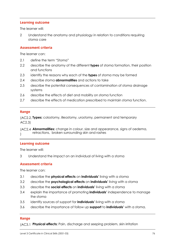The learner will:

2 Understand the anatomy and physiology in relation to conditions requiring stoma care

#### **Assessment criteria Assessment criteria**

The learner can:

- 2.1 define the term "Stoma"
- 2.2 describe the anatomy of the different **types** of stoma formation, their position and functions
- 2.3 identify the reasons why each of the **types** of stoma may be formed
- 2.4 describe stoma **abnormalities** and actions to take
- 2.5 describe the potential consequences of contamination of stoma drainage systems
- 2.6 describe the effects of diet and mobility on stoma function
- 2.7 describe the effects of medication prescribed to maintain stoma function.

## **Range**

**Types:** colostomy, illeostomy, urostomy, permanent and temporary (AC2.2, AC2.3)

(AC2.4 **Abnormalities:** change in colour, size and appearance, signs of oedema, retractions, broken surrounding skin and rashes )

# **Learning outcome**

The learner will:

3 Understand the impact on an individual of living with a stoma

#### **Assessment criteria Assessment criteria**

The learner can:

- 3.1 describe the **physical effects** on **individuals'** living with a stoma
- 3.2 describe the **psychological effects** on **individuals'** living with a stoma
- 3.3 describe the **social effects** on **individuals'** living with a stoma
- 3.4 explain the importance of promoting **individuals'** independence to manage the stoma
- 3.5 identify sources of support for **individuals'** living with a stoma
- 3.6 describe the importance of follow up **support** to **individuals'** with a stoma.

# **Range**

)

**Physical effects:** Pain, discharge and seeping problem, skin irritation (AC3.1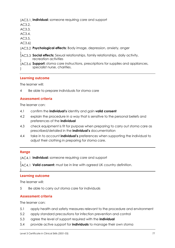**Individual:** someone requiring care and support (AC3.1, **Psychological effects:** Body image, depression, anxiety, anger (AC3.2 )<br>(AC3.3 **Social effects:** Sexual relationships, family relationships, daily activity, recreation activities **Support:** stoma care instructions, prescriptions for supplies and appliances, specialist nurse, charities. AC3.2, AC3.3, AC3.4, AC3.5, AC3.6) (AC3.3 ) (AC3.6 )

### **Learning outcome**

The learner will:

4 Be able to prepare individuals for stoma care

#### **Assessment criteria Assessment criteria**

The learner can:

- 4.1 confirm the **individual's** identity and gain **valid consent**
- 4.2 explain the procedure in a way that is sensitive to the personal beliefs and preferences of the **individual**
- 4.3 check equipment is fit for purpose when preparing to carry out stoma care as prescribed/detailed in the **individual's** documentation
- 4.4 take in to account **individual's** preferences when supporting the individual to adjust their clothing in preparing for stoma care.

# **Range**

)

(AC4.1 Individual: someone requiring care and support

)<br>(AC4.1 **Valid consent:** must be in line with agreed UK country definition. (AC4.1

# **Learning outcome**

The learner will:

5 Be able to carry out stoma care for individuals

#### **Assessment criteria Assessment criteria**

- 5.1 apply health and safety measures relevant to the procedure and environment
- 5.2 apply standard precautions for infection prevention and control
- 5.3 agree the level of support required with the **individual**
- 5.4 provide active support for **individuals** to manage their own stoma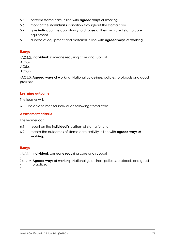- 5.5 perform stoma care in line with **agreed ways of working**
- 5.6 monitor the **individual's** condition throughout the stoma care
- 5.7 give **individual** the opportunity to dispose of their own used stoma care equipment
- 5.8 dispose of equipment and materials in line with **agreed ways of working**.

**Range Individual:** someone requiring care and support (AC5.3,

AC5.4,

AC5.6,

AC5.7)

**Agreed ways of working:** National guidelines, policies, protocols and good (AC5.5,  $pA$ C $5.8$  $pC$ .

## **Learning outcome**

The learner will:

6 Be able to monitor individuals following stoma care

# **Assessment criteria**

The learner can:

- 6.1 report on the **individual's** pattern of stoma function
- 6.2 record the outcomes of stoma care activity in line with **agreed ways of working**.

**Range Individual:** someone requiring care and support (AC6.1

)<br>(AC6.2 **Agreed ways of working:** National guidelines, policies, protocols and good ) practice. (AC6.2 )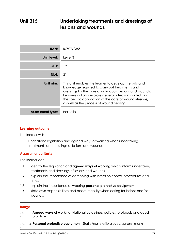### **Unit 315 Undertaking treatments and dressings of lesions and wounds**

| <b>UAN:</b>             | R/507/2355                                                                                                                                                                                                                                                                                                                                 |  |
|-------------------------|--------------------------------------------------------------------------------------------------------------------------------------------------------------------------------------------------------------------------------------------------------------------------------------------------------------------------------------------|--|
| Unit level:             | Level 3                                                                                                                                                                                                                                                                                                                                    |  |
| GLH:                    | 19                                                                                                                                                                                                                                                                                                                                         |  |
| NLH:                    | 31                                                                                                                                                                                                                                                                                                                                         |  |
| Unit aim:               | This unit enables the learner to develop the skills and<br>knowledge required to carry out treatments and<br>dressings for the care of individuals' lesions and wounds.<br>Learners will also explore general infection control and<br>the specific application of the care of wounds/lesions,<br>as well as the process of wound healing. |  |
| <b>Assessment type:</b> | Portfolio                                                                                                                                                                                                                                                                                                                                  |  |

# **Learning outcome**

The learner will:

1 Understand legislation and agreed ways of working when undertaking treatments and dressings of lesions and wounds

#### **Assessment criteria Assessment criteria**

The learner can:

- 1.1 identify the legislation and **agreed ways of working** which inform undertaking treatments and dressings of lesions and wounds
- 1.2 explain the importance of complying with infection control procedures at all times
- 1.3 explain the importance of wearing **personal protective equipment**
- 1.4 state own responsibilities and accountability when caring for lesions and/or wounds.

## **Range**

)

**Agreed ways of working:** National guidelines, policies, protocols and good (AC1.1 practice )

**Personal protective equipment:** Sterile/non sterile gloves, aprons, masks. (AC1.3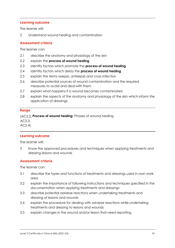The learner will:

2 Understand wound healing and contamination

# **Assessment criteria**

The learner can:

- 2.1 describe the anatomy and physiology of the skin
- 2.2 explain the **process of wound healing**
- 2.3 identify factors which promote the **process of wound healing**
- 2.4 identify factors which delay the **process of wound healing**
- 2.5 explain the terms asepsis, antisepsis and cross infection
- 2.6 describe potential sources of wound contamination and the required measures to avoid and deal with them
- 2.7 explain what happens if a wound becomes contaminated
- 2.8 explain the aspects of the anatomy and physiology of the skin which inform the application of dressings.

## **Range**

**Process of wound healing:** Phases of wound healing (AC2.2, AC2.3,

AC2.4)

### **Learning outcome**

The learner will:

3 Know the approved procedures and techniques when applying treatments and dressing lesions and wounds

# **Assessment criteria**

- 3.1 describe the types and functions of treatments and dressings used in own work area
- 3.2 explain the importance of following instructions and techniques specified in the documentation when applying treatments and dressings
- 3.3 describe potential adverse reactions when undertaking treatments and dressing of lesions and wounds
- 3.4 explain the procedure for dealing with adverse reactions while undertaking treatments and dressing to lesions and wounds
- 3.5 explain changes in the wound and/or lesion that need reporting.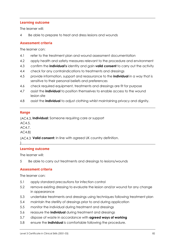The learner will:

4 Be able to prepare to treat and dress lesions and wounds

# **Assessment criteria**

The learner can:

- 4.1 refer to the treatment plan and wound assessment documentation
- 4.2 apply health and safety measures relevant to the procedure and environment
- 4.3 confirm the **individual's** identity and gain **valid consent** to carry out the activity
- 4.4 check for any contraindications to treatments and dressings
- 4.5 provide information, support and reassurance to the **individual** in a way that is sensitive to their personal beliefs and preferences
- 4.6 check required equipment, treatments and dressings are fit for purpose
- 4.7 assist the **individual** to position themselves to enable access to the wound lesion site
- 4.8 assist the **individual** to adjust clothing whilst maintaining privacy and dignity.

**Range** (AC4.3, **Individual:** Someone requiring care or support

AC4.5,

AC4.7,

AC4.8)

(AC4.3 Valid consent: In line with agreed UK country definition.

### )

### **Learning outcome**

The learner will:

5 Be able to carry out treatments and dressings to lesions/wounds

#### **Assessment criteria Assessment criteria**

- 5.1 apply standard precautions for infection control
- 5.2 remove existing dressing to evaluate the lesion and/or wound for any change in appearance
- 5.3 undertake treatments and dressings using techniques following treatment plan
- 5.4 maintain the sterility of dressings prior to and during application
- 5.5 monitor the individual during treatment and dressings
- 5.6 reassure the **individual** during treatment and dressings
- 5.7 dispose of waste in accordance with **agreed ways of working**
- 5.8 ensure the **individual** is comfortable following the procedure.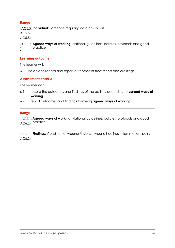**Range Individual:** Someone requiring care or support (AC5.5, AC5.6, AC5.8)

**Agreed ways of working:** National guidelines, policies, protocols and good (AC5.7 practice  $\overline{)}$ 

#### **Learning outcome**

The learner will:

6 Be able to record and report outcomes of treatments and dressings

# **Assessment criteria**

The learner can:

- 6.1 record the outcomes and findings of the activity according to **agreed ways of working**
- 6.2 report outcomes and **findings** following **agreed ways of working**.

## **Range**

**Agreed ways of working:** National guidelines, policies, protocols and good (AC6.1, AC6.2) practice

**Findings:** Condition of wounds/lesions – wound healing, inflammation, pain. (AC6.1, AC6.2)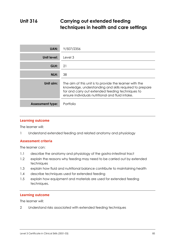### **Unit 316 Carrying out extended feeding techniques in health and care settings**

| UAN:                    | Y/507/2356                                                                                                                                                                                                                 |  |
|-------------------------|----------------------------------------------------------------------------------------------------------------------------------------------------------------------------------------------------------------------------|--|
| Unit level:             | Level 3                                                                                                                                                                                                                    |  |
| GLH:                    | 21                                                                                                                                                                                                                         |  |
| NLH:<br>38              |                                                                                                                                                                                                                            |  |
| Unit aim:               | The aim of this unit is to provide the learner with the<br>knowledge, understanding and skills required to prepare<br>for and carry out extended feeding techniques to<br>ensure individuals nutritional and fluid intake. |  |
| <b>Assessment type:</b> | Portfolio                                                                                                                                                                                                                  |  |

### **Learning outcome**

The learner will:

1 Understand extended feeding and related anatomy and physiology

# **Assessment criteria**

The learner can:

- 1.1 describe the anatomy and physiology of the gastro-intestinal tract
- 1.2 explain the reasons why feeding may need to be carried out by extended techniques
- 1.3 explain how fluid and nutritional balance contribute to maintaining health
- 1.4 describe techniques used for extended feeding
- 1.5 explain how equipment and materials are used for extended feeding techniques.

# **Learning outcome**

The learner will:

2 Understand risks associated with extended feeding techniques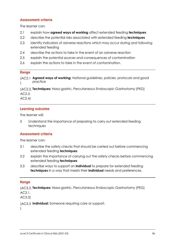# **Assessment criteria**

The learner can:

- 2.1 explain how **agreed ways of working** affect extended feeding **techniques**
- 2.2 describe the potential risks associated with extended feeding **techniques**
- 2.3 identify indicators of adverse reactions which may occur during and following extended feeding
- 2.4 describe the actions to take in the event of an adverse reaction
- 2.5 explain the potential sources and consequences of contamination
- 2.6 explain the actions to take in the event of contamination.

**Range Agreed ways of working:** National guidelines, policies, protocols and good (AC2.1 practice )

**Techniques:** Naso-gastric, Percutaneous Endoscopic Gastrostomy (PEG) (AC2.2, AC2.3,

AC2.4)

# **Learning outcome**

The learner will:

3 Understand the importance of preparing to carry out extended feeding techniques

#### **Assessment criteria Assessment criteria**

The learner can:

- 3.1 describe the safety checks that should be carried out before commencing extended feeding **techniques**
- 3.2 explain the importance of carrying out the safety checks before commencing extended feeding **techniques**
- 3.3 describe ways to support an **individual** to prepare for extended feeding **techniques** in a way that meets their **individual** needs and preferences.

**Range Techniques:** Naso-gastric, Percutaneous Endoscopic Gastrostomy (PEG) (AC3.2, AC3.1,

AC3.3)

(AC3.3 Individual: Someone requiring care or support.

 $\left( \right)$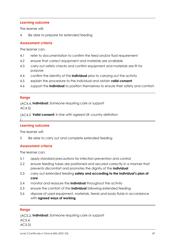The learner will:

4 Be able to prepare for extended feeding

# **Assessment criteria**

The learner can:

- 4.1 refer to documentation to confirm the feed and/or fluid requirement
- 4.2 ensure that correct equipment and materials are available
- 4.3 carry out safety checks and confirm equipment and materials are fit for purpose
- 4.4 confirm the identity of the **individual** prior to carrying out the activity
- 4.5 explain the procedure to the individual and obtain **valid consent**
- 4.6 support the **individual** to position themselves to ensure their safety and comfort.

)

**Range Individual:** Someone requiring care or support (AC4.4, AC4.5)

**Valid consent:** In line with agreed UK country definition (AC4.5

### **Learning outcome**

The learner will:

5 Be able to carry out and complete extended feeding

# **Assessment criteria**

The learner can:

- 5.1 apply standard precautions for infection prevention and control
- 5.2 ensure feeding tubes are positioned and secured correctly in a manner that prevents discomfort and promotes the dignity of the **individual**
- 5.3 carry out extended feeding **safely and according to the individual's plan of care**
- 5.4 monitor and reassure the **individual** throughout the activity
- 5.5 ensure the comfort of the **individual** following extended feeding
- 5.6 dispose of used equipment, materials, feeds and body fluids in accordance with **agreed ways of working**.

**Range Individual:** Someone requiring care or support (AC5.2,

AC5.4,

AC5.5)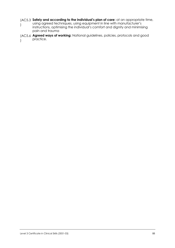- (AC5.3 Safely and according to the individual's plan of care: at an appropriate time, using agreed techniques, using equipment in line with manufacturer's instructions, optimising the individual's comfort and dignity and minimising pain and trauma )
- **Agreed ways of working:** National guidelines, policies, protocols and good (AC5.6 practice.  $\lambda$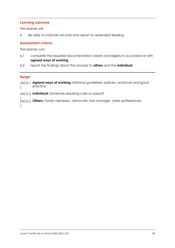The learner will:

6 Be able to maintain records and report on extended feeding

# **Assessment criteria**

The learner can:

- 6.1 complete the required documentation clearly and legibly in accordance with **agreed ways of working**
- 6.2 report the findings about the process to **others** and the **individual**.

)

**Range Agreed ways of working:** National guidelines, policies, protocols and good (AC6.1 practice )

**Individual:** Someone requiring care or support (AC6.2

**Others:** Family members, advocate, line manager, other professionals. ) (AC6.2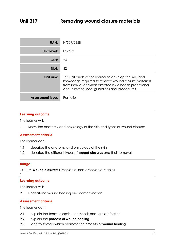| <b>UAN:</b>             | H/507/2358                                                                                                                                                                                                                   |  |
|-------------------------|------------------------------------------------------------------------------------------------------------------------------------------------------------------------------------------------------------------------------|--|
| Unit level:             | Level 3                                                                                                                                                                                                                      |  |
| GLH:                    | 24                                                                                                                                                                                                                           |  |
| NLH:                    | 42                                                                                                                                                                                                                           |  |
| Unit aim:               | This unit enables the learner to develop the skills and<br>knowledge required to remove wound closure materials<br>from individuals when directed by a health practitioner<br>and following local guidelines and procedures. |  |
| <b>Assessment type:</b> | Portfolio                                                                                                                                                                                                                    |  |

The learner will:

1 Know the anatomy and physiology of the skin and types of wound closures

#### **Assessment criteria Assessment criteria**

The learner can:

- 1.1 describe the anatomy and physiology of the skin
- 1.2 describe the different types of **wound closures** and their removal.

## **Range**

**Wound closures:** Dissolvable, non-dissolvable, staples. (AC1.2

)

## **Learning outcome**

The learner will:

2 Understand wound healing and contamination

# **Assessment criteria**

- 2.1 explain the terms 'asepsis', 'antisepsis and 'cross infection'
- 2.2 explain the **process of wound healing**
- 2.3 identify factors which promote the **process of wound healing**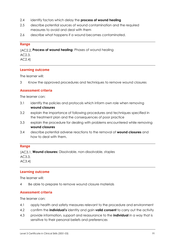- 2.4 identify factors which delay the **process of wound healing**
- 2.5 describe potential sources of wound contamination and the required measures to avoid and deal with them
- 2.6 describe what happens if a wound becomes contaminated.

**Range** (AC2.2, Process of wound healing: Phases of wound healing

AC2.3,

AC2.4)

# **Learning outcome**

The learner will:

3 Know the approved procedures and techniques to remove wound closures

#### **Assessment criteria Assessment criteria**

The learner can:

- 3.1 identify the policies and protocols which inform own role when removing **wound closures**
- 3.2 explain the importance of following procedures and techniques specified in the treatment plan and the consequences of poor practice
- 3.3 explain the procedure for dealing with problems encountered while removing **wound closures**
- 3.4 describe potential adverse reactions to the removal of **wound closures** and how to deal with them.

### **Range**

**Wound closures:** Dissolvable, non-dissolvable, staples (AC3.1, AC3.3, AC3.4)

### **Learning outcome**

The learner will:

4 Be able to prepare to remove wound closure materials

#### **Assessment criteria Assessment criteria**

- 4.1 apply health and safety measures relevant to the procedure and environment
- 4.2 confirm the **individual's** identity and gain **valid consent** to carry out the activity
- 4.3 provide information, support and reassurance to the **individual** in a way that is sensitive to their personal beliefs and preferences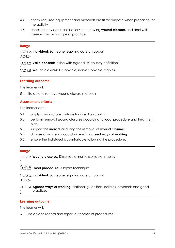- 4.4 check required equipment and materials are fit for purpose when preparing for the activity
- 4.5 check for any contraindications to removing **wound closures** and deal with these within own scope of practice.

)

**Range Individual:** Someone requiring care or support (AC4.2, AC4.3)

**Valid consent:** In line with agreed UK country definition (AC4.2

)<br>(AC4.5 **Wound closures:** Dissolvable, non-dissolvable, staples. (AC4.5

#### **Learning outcome**

The learner will:

5 Be able to remove wound closure materials

# **Assessment criteria**

The learner can:

- 5.1 apply standard precautions for infection control
- 5.2 perform removal **wound closures** according to **local procedure** and treatment plan
- 5.3 support the **individual** during the removal of **wound closures**
- 5.4 dispose of waste in accordance with **agreed ways of working**
- 5.5 ensure the **individual** is comfortable following the procedure.

# **Range**

**Wound closures:** Dissolvable, non-dissolvable, staples (AC5.2 AC5.3)<br>(AC5.2 **Local procedure:** Aseptic technique )<br>(AC5.3, **Individual:** Someone requiring care or support **Agreed ways of working:** National guidelines, policies, protocols and good (AC5.4 practice.  $\mathcal{L}$ (AC5.3, AC5.5)  $\lambda$ 

## **Learning outcome**

The learner will:

6 Be able to record and report outcomes of procedures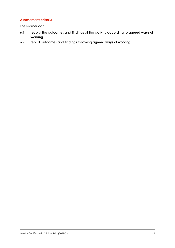### **Assessment criteria**

- 6.1 record the outcomes and **findings** of the activity according to **agreed ways of working**
- 6.2 report outcomes and **findings** following **agreed ways of working**.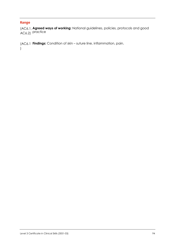)

**Range Agreed ways of working:** National guidelines, policies, protocols and good (AC6.1, AC6.2) practice

**Findings:** Condition of skin – suture line, inflammation, pain. (AC6.1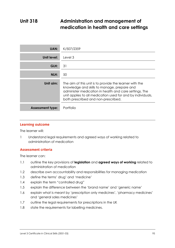### **Unit 318 Administration and management of medication in health and care settings**

| <b>UAN:</b>             | K/507/2359                                                                                                                                                                                                                                                             |  |
|-------------------------|------------------------------------------------------------------------------------------------------------------------------------------------------------------------------------------------------------------------------------------------------------------------|--|
| Unit level:             | Level 3                                                                                                                                                                                                                                                                |  |
| GLH:                    | 31                                                                                                                                                                                                                                                                     |  |
| NLH:                    | 50                                                                                                                                                                                                                                                                     |  |
| Unit aim:               | The aim of this unit is to provide the learner with the<br>knowledge and skills to manage, prepare and<br>administer medication in health and care settings. The<br>unit applies to all medication used for and by individuals,<br>both prescribed and non-prescribed. |  |
| <b>Assessment type:</b> | Portfolio                                                                                                                                                                                                                                                              |  |

# **Learning outcome**

The learner will:

1 Understand legal requirements and agreed ways of working related to administration of medication

#### **Assessment criteria Assessment criteria**

- 1.1 outline the key provisions of **legislation** and **agreed ways of working** related to administration of medication
- 1.2 describe own accountability and responsibilities for managing medication
- 1.3 define the terms' drug' and 'medicine'
- 1.4 explain the term "controlled drug"
- 1.5 explain the difference between the 'brand name' and 'generic name'
- 1.6 explain what is meant by 'prescription only medicines', 'pharmacy medicines' and 'general sales medicines'
- 1.7 outline the legal requirements for prescriptions in the UK
- 1.8 state the requirements for labelling medicines.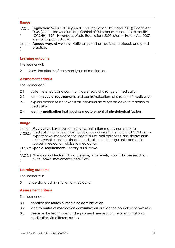**Range Legislation:** Misuse of Drugs Act 1971(regulations 1972 and 2001); Health Act (AC1.1 2006 (Controlled Medication), Control of Substances Hazardous to Health (COSHH) 1999, Hazardous Waste Regulations 2005, Mental Health Act 2007, Mental Capacity Act 2011 )

**Agreed ways of working:** National guidelines, policies, protocols and good (AC1.1 practice. )

### **Learning outcome**

The learner will:

2 Know the effects of common types of medication

# **Assessment criteria**

The learner can:

- 2.1 state the effects and common side effects of a range of **medication**
- 2.2 identify **special requirements** and contraindications of a range of **medication**
- 2.3 explain actions to be taken if an individual develops an adverse reaction to **medication**
- 2.4 identify **medication** that requires measurement of **physiological factors**.

- **Range Medication:** Laxatives, analgesics,, anti-inflammatory non-steroidal (AC2.1,
- medication, anti-histamines, antibiotics, inhalers for asthma and COPD, anti-AC2.2) hypertensive, medication for heart failure, anti-epileptics, anti-depressants, anti-psychotic, anti-Parkinson's medication, anti-coagulants, dementia support medication, diabetic medication

(AC2.2 Special requirements: Dietary, fluid intake

)<br>(AC2.4 **Physiological factors:** Blood pressure, urine levels, blood glucose readings, pulse, bowel movements, peak flow. (AC2.4 )

# **Learning outcome**

The learner will:

3 Understand administration of medication

# **Assessment criteria**

- 3.1 describe the **routes of medicine administration**
- 3.2 identify **routes of medication administration** outside the boundary of own role
- 3.3 describe the techniques and equipment needed for the administration of medication via different routes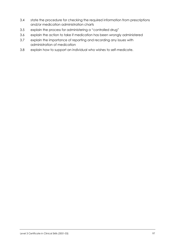- 3.4 state the procedure for checking the required information from prescriptions and/or medication administration charts
- 3.5 explain the process for administering a "controlled drug"
- 3.6 explain the action to take if medication has been wrongly administered
- 3.7 explain the importance of reporting and recording any issues with administration of medication
- 3.8 explain how to support an individual who wishes to self-medicate.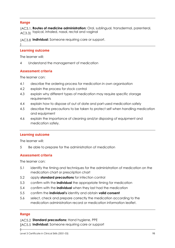)

**Range** (AC3.1, **Routes of medicine administration:** Oral, sublingual, transdermal, parenteral,  $_{\sf AC3.3)}\,$  topical, inhaled, nasal, rectal and vaginal

(AC3.8 Individual: Someone requiring care or support.

**Learning outcome** The learner will:

4 Understand the management of medication

#### **Assessment criteria Assessment criteria**

The learner can:

- 4.1 describe the ordering process for medication in own organisation
- 4.2 explain the process for stock control
- 4.3 explain why different types of medication may require specific storage requirements
- 4.4 explain how to dispose of out of date and part-used medication safely
- 4.5 describe the precautions to be taken to protect self when handling medication and equipment
- 4.6 explain the importance of cleaning and/or disposing of equipment and medication safely.

#### **Learning outcome**

The learner will:

5 Be able to prepare for the administration of medication

#### **Assessment criteria Assessment criteria**

The learner can:

- 5.1 identify the timing and techniques for the administration of medication on the medication chart or prescription chart
- 5.2 apply **standard precautions** for infection control
- 5.3 confirm with the **individual** the appropriate timing for medication
- 5.4 confirm with the **individual** when they last had the medication
- 5.5 confirm the **individual's** identity and obtain **valid consent**
- 5.6 select, check and prepare correctly the medication according to the medication administration record or medication information leaflet.

### **Range**

)

(AC5.2 **Standard precautions:** Hand hygiene, PPE

IAC5.5 Individual: Someone requiring care or support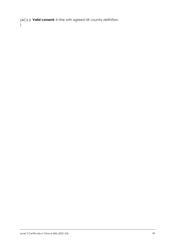(AC5.5 **Valid consent:** In line with agreed UK country definition. )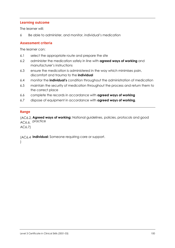The learner will:

6 Be able to administer, and monitor, individual's medication

# **Assessment criteria**

The learner can:

- 6.1 select the appropriate route and prepare the site
- 6.2 administer the medication safely in line with **agreed ways of working** and manufacturer's instructions
- 6.3 ensure the medication is administered in the way which minimises pain, discomfort and trauma to the **individual**
- 6.4 monitor the **individual's** condition throughout the administration of medication
- 6.5 maintain the security of medication throughout the process and return them to the correct place
- 6.6 complete the records in accordance with **agreed ways of working**
- 6.7 dispose of equipment in accordance with **agreed ways of working**.

## **Range**

**Agreed ways of working:** National guidelines, policies, protocols and good (AC6.2, AC6.6, practice

AC6.7)

**Individual:** Someone requiring care or support. (AC6.4

)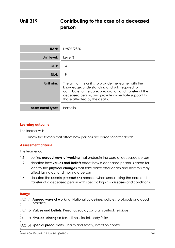### **Unit 319 Contributing to the care of a deceased person**

| UAN:                    | D/507/2360                                                                                                                                                                                                                                                 |  |
|-------------------------|------------------------------------------------------------------------------------------------------------------------------------------------------------------------------------------------------------------------------------------------------------|--|
| Unit level:             | Level 3                                                                                                                                                                                                                                                    |  |
| GLH:                    | 14                                                                                                                                                                                                                                                         |  |
| NLH:                    | 19                                                                                                                                                                                                                                                         |  |
| Unit aim:               | The aim of this unit is to provide the learner with the<br>knowledge, understanding and skills required to<br>contribute to the care, preparation and transfer of the<br>deceased person, and provide immediate support to<br>those affected by the death. |  |
| <b>Assessment type:</b> | Portfolio                                                                                                                                                                                                                                                  |  |

# **Learning outcome**

The learner will:

1 Know the factors that affect how persons are cared for after death

# **Assessment criteria**

The learner can:

- 1.1 outline **agreed ways of working** that underpin the care of deceased person
- 1.2 describe how **values and beliefs** affect how a deceased person is cared for
- 1.3 identify the **physical changes** that take place after death and how this may affect laying out and moving a person
- 1.4 describe the **special precautions** needed when undertaking the care and transfer of a deceased person with specific high risk **diseases and conditions**.

**Range Agreed ways of working:** National guidelines, policies, protocols and good (AC1.1 practice  $\lambda$ 

**Values and beliefs:** Personal, social, cultural, spiritual, religious (AC1.2

)<br>(AC1.3 **Physical changes:** Torso, limbs, facial, body fluids (AC1.3

)<br>(AC1.4 **Special precautions:** Health and safety, infection control (AC1.4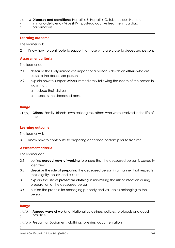(AC1.4 Diseases and conditions: Hepatitis B, Hepatitis C, Tuberculosis, Human Immuno-deficiency Virus (HIV), post-radioactive treatment, cardiac pacemakers. )

# **Learning outcome**

The learner will:

2 Know how to contribute to supporting those who are close to deceased persons

# **Assessment criteria**

The learner can:

- 2.1 describe the likely immediate impact of a person's death on **others** who are close to the deceased person
- 2.2 explain how to support **others** immediately following the death of the person in ways that:
	- a reduce their distress
	- b respects the deceased person.

**Range Others:** Family, friends, own colleagues, others who were involved in the life of (AC2.1, the

#### **Learning outcome**

The learner will:

3 Know how to contribute to preparing deceased persons prior to transfer

# **Assessment criteria**

The learner can:

- 3.1 outline **agreed ways of working** to ensure that the deceased person is correctly identified
- 3.2 describe the role of **preparing** the deceased person in a manner that respects their dignity, beliefs and culture
- 3.3 explain the use of **protective clothing** in minimizing the risk of infection during preparation of the deceased person
- 3.4 outline the process for managing property and valuables belonging to the person.

## **Range**

)

**Agreed ways of working:** National guidelines, policies, protocols and good (AC3.1 practice )

**Preparing:** Equipment, clothing, toiletries, documentation (AC3.2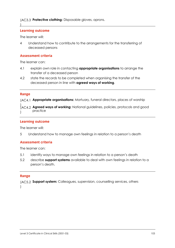### (AC3.3 Protective clothing: Disposable gloves, aprons.

#### **Learning outcome**

The learner will:

 $\overline{)}$ 

4 Understand how to contribute to the arrangements for the transferring of deceased persons

# **Assessment criteria**

The learner can:

- 4.1 explain own role in contacting **appropriate organisations** to arrange the transfer of a deceased person
- 4.2 state the records to be completed when organising the transfer of the deceased person in line with **agreed ways of working**.

**Range** (AC4.1 **Appropriate organisations:** Mortuary, funeral directors, places of worship

)<br>(AC4.2 **Agreed ways of working:** National guidelines, policies, protocols and good ) practice (AC4.2 )

#### **Learning outcome**

The learner will:

5 Understand how to manage own feelings in relation to a person's death

#### **Assessment criteria Assessment criteria**

The learner can:

- 5.1 identify ways to manage own feelings in relation to a person's death
- 5.2 describe **support systems** available to deal with own feelings in relation to a person's death.

## **Range**

(AC5.2 **Support system:** Colleagues, supervision, counselling services, others )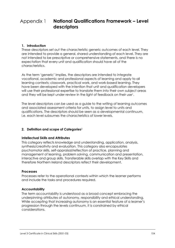### **1. Introduction**

These descriptors set out the characteristic generic outcomes of each level. They are intended to provide a general, shared understanding of each level. They are not intended to be prescriptive or comprehensive statements, and there is no expectation that every unit and qualification should have all of the characteristics.

As the term 'generic' implies, the descriptors are intended to integrate vocational, academic and professional aspects of learning and apply to all learning contexts; classwork, practical work, and work-based learning. They have been developed with the intention that unit and qualification developers will use their professional expertise to translate them into their own subject areas and they will be kept under review in the light of feedback on their use<sup>1</sup>.

The level descriptors can be used as a guide to the writing of learning outcomes and associated assessment criteria for units, to assign level to units and qualifications. The descriptors should be seen as a developmental continuum, i.e. each level subsumes the characteristics of lower levels.

### **2. Definition and scope of Categories**<sup>2</sup>

### **Intellectual Skills and Attributes**

This category reflects knowledge and understanding, application, analysis, synthesis/creativity and evaluation. This category also encapsulates psychomotor skills, self-appraisal/reflection of practice, planning and management of learning, problem solving, communication and presentation, interactive and group skills. Transferable skills overlap with the Key Skills and therefore Northern Ireland descriptors reflect their development.

#### **Processes**

Processes refer to the operational contexts within which the learner performs and include the tasks and procedures required.

### **Accountability**

The term accountability is understood as a broad concept embracing the underpinning attributes of autonomy, responsibility and ethical understanding. While accepting that increasing autonomy is an essential feature of a learner's progression through the levels continuum, it is constrained by ethical considerations.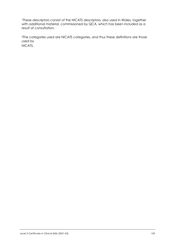<sup>1</sup>These descriptors consist of the NICATS descriptors, also used in Wales, together with additional material, commissioned by QCA, which has been included as a result of consultation.

<sup>2</sup>The categories used are NICATS categories, and thus these definitions are those used by

NICATS.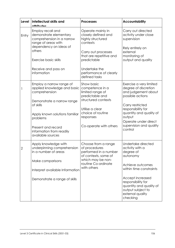| Level | <b>Intellectual skills and</b><br>attributae                                                                                                                                                                                             | <b>Processes</b>                                                                                                                                                                                       | <b>Accountability</b>                                                                                                                                                                                                                   |
|-------|------------------------------------------------------------------------------------------------------------------------------------------------------------------------------------------------------------------------------------------|--------------------------------------------------------------------------------------------------------------------------------------------------------------------------------------------------------|-----------------------------------------------------------------------------------------------------------------------------------------------------------------------------------------------------------------------------------------|
| Entry | Employ recall and<br>demonstrate elementary<br>comprehension in a narrow<br>range of areas with<br>dependency on ideas of<br>others<br>Exercise basic skills<br>Receive and pass on<br>information                                       | Operate mainly in<br>closely defined and<br>highly structured<br>contexts<br>Carry out processes<br>that are repetitive and<br>predictable<br>Undertake the<br>performance of clearly<br>defined tasks | Carry out directed<br>activity under close<br>supervision<br>Rely entirely on<br>external<br>monitoring of<br>output and quality                                                                                                        |
|       | Employ a narrow range of<br>applied knowledge and basic<br>comprehension<br>Demonstrate a narrow range<br>of skills<br>Apply known solutions familiar<br>problems<br>Present and record<br>information from readily<br>available sources | Show basic<br>competence in a<br>limited range of<br>predictable and<br>structured contexts<br>Utilise a clear<br>choice of routine<br>responses<br>Co-operate with others                             | Exercise a very limited<br>degree of discretion<br>and judgement about<br>possible actions<br>Carry restricted<br>responsibility for<br>quantity and quality of<br>output<br>Operate under direct<br>supervision and quality<br>control |
| 2     | Apply knowledge with<br>underpinning comprehension<br>in a number of areas<br>Make comparisons<br>Interpret available Information<br>Demonstrate a range of skills                                                                       | Choose from a range<br>of procedures<br>performed in a number<br>of contexts, some of<br>which may be non-<br>routine Co-ordinate<br>with others                                                       | Undertake directed<br>activity with a<br>degree of<br>autonomy<br>Achieve outcomes<br>within time constraints<br>Accept increased<br>responsibility for<br>quantity and quality of<br>output subject to<br>external quality<br>checking |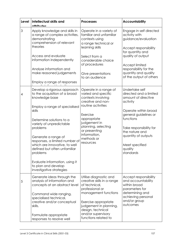| Level | <b>Intellectual skills and</b><br>attrihutae                                                                                                                                                                                                                                                                                                                                                                                                  | <b>Processes</b>                                                                                                                                                                                                                            | <b>Accountability</b>                                                                                                                                                                                                                                   |
|-------|-----------------------------------------------------------------------------------------------------------------------------------------------------------------------------------------------------------------------------------------------------------------------------------------------------------------------------------------------------------------------------------------------------------------------------------------------|---------------------------------------------------------------------------------------------------------------------------------------------------------------------------------------------------------------------------------------------|---------------------------------------------------------------------------------------------------------------------------------------------------------------------------------------------------------------------------------------------------------|
| 3     | Apply knowledge and skills in<br>a range of complex activities,<br>demonstrating<br>comprehension of relevant<br>theories<br>Access and evaluate<br>information independently                                                                                                                                                                                                                                                                 | Operate in a variety of<br>familiar and unfamiliar<br>contexts using<br>a range technical or<br>learning skills<br>Select from a<br>considerable choice<br>of procedures                                                                    | Engage in self directed<br>activity with<br>guidance/evaluation<br>Accept responsibility<br>for quantity and<br>quality of output<br>Accept limited                                                                                                     |
|       | Analyse information and<br>make reasoned judgements<br>Employ a range of responses                                                                                                                                                                                                                                                                                                                                                            | Give presentations<br>to an audience                                                                                                                                                                                                        | responsibility for the<br>quantity and quality<br>of the output of others                                                                                                                                                                               |
| 4     | <b>Contractor</b><br>Develop a rigorous approach<br>to the acquisition of a broad<br>knowledge base<br>Employ a range of specialised<br>skills<br>Determine solutions to a<br>variety of unpredictable<br>problems<br>Generate a range of<br>responses, a limited number of<br>which are innovative, to well<br>defined but often unfamiliar<br>problems<br>Evaluate information, using it<br>to plan and develop<br>investigative strategies | Operate in a range of<br>varied and specific<br>contexts involving<br>creative and non-<br>routine activities<br>Exercise<br>appropriate<br>judgement in<br>planning, selecting<br>or presenting<br>information,<br>methods or<br>resources | Undertake self<br>directed and a limited<br>amount of directive<br>activity<br>Operate within broad<br>general guidelines or<br>functions<br>Take responsibility for<br>the nature and<br>quantity of outputs<br>Meet specified<br>quality<br>standards |
| 5     | Generate ideas through the<br>analysis of information and<br>concepts at an abstract level<br>Command wide ranging,<br>specialised technical,<br>creative and/or conceptual<br>skills.<br>Formulate appropriate<br>responses to resolve well                                                                                                                                                                                                  | Utilise diagnostic and<br>creative skills in a range<br>of technical,<br>professional or<br>management functions<br>Exercise appropriate<br>judgement in planning,<br>design, technical<br>and/or supervisory<br>functions related to       | Accept responsibility<br>and accountability<br>within broad<br>parameters for<br>determining and<br>achieving personal<br>and/or group<br>outcomes                                                                                                      |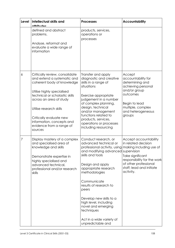| Level | <b>Intellectual skills and</b><br>attributae                                                                                                                                                                                                                                                                     | <b>Processes</b>                                                                                                                                                                                                                                                                                                                                                                                                        | <b>Accountability</b>                                                                                                                                                  |
|-------|------------------------------------------------------------------------------------------------------------------------------------------------------------------------------------------------------------------------------------------------------------------------------------------------------------------|-------------------------------------------------------------------------------------------------------------------------------------------------------------------------------------------------------------------------------------------------------------------------------------------------------------------------------------------------------------------------------------------------------------------------|------------------------------------------------------------------------------------------------------------------------------------------------------------------------|
|       | defined and abstract<br>problems.<br>Analyse, reformat and<br>evaluate a wide range of<br>information                                                                                                                                                                                                            | products, services,<br>operations or<br>processes                                                                                                                                                                                                                                                                                                                                                                       |                                                                                                                                                                        |
| 6     | Critically review, consolidate<br>and extend a systematic and<br>coherent body of knowledge<br>Utilise highly specialised<br>technical or scholastic skills<br>across an area of study<br>Utilise research skills<br>Critically evaluate new<br>information, concepts and<br>evidence from a range of<br>sources | Transfer and apply<br>diagnostic and creative<br>skills in a range of<br>situations<br>Exercise appropriate<br>judgement in a number<br>of complex planning,<br>design, technical<br>and/or management<br>functions related to<br>products, services,<br>operations or processes<br>including resourcing                                                                                                                | Accept<br>accountability for<br>determining and<br>achieving personal<br>and/or group<br>outcomes<br>Begin to lead<br>multiple, complex<br>and heterogeneous<br>groups |
| 7     | Display mastery of a complex<br>and specialised area of<br>knowledge and skills<br>Demonstrate expertise in<br>highly specialised and<br>advanced technical,<br>professional and/or research<br>skills                                                                                                           | Conduct research, or<br>advanced technical or<br>professional activity, using making including use of<br>and modifying advanced supervision<br>skills and tools<br>Design and apply<br>appropriate research<br>methodologies<br>Communicate<br>results of research to<br>peers<br>Develop new skills to a<br>high level, including<br>novel and emerging<br>techniques<br>Act in a wide variety of<br>unpredictable and | Accept accountability<br>in related decision<br>Take significant<br>responsibility for the work<br>of other professional<br>staff; lead and initiate<br>activity.      |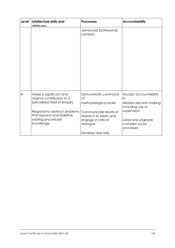| Level | Intellectual skills and<br>attributac                                                                                                                                                | <b>Processes</b>                                                                                                                                               | <b>Accountability</b>                                                                                                                           |
|-------|--------------------------------------------------------------------------------------------------------------------------------------------------------------------------------------|----------------------------------------------------------------------------------------------------------------------------------------------------------------|-------------------------------------------------------------------------------------------------------------------------------------------------|
|       |                                                                                                                                                                                      | advanced professional<br>contexts.                                                                                                                             |                                                                                                                                                 |
| 8     | Make a significant and<br>original contribution to a<br>specialised field of enquiry<br>Respond to abstract problems<br>that expand and redefine<br>existing procedural<br>knowledge | Demonstrate command<br>of<br>methodological issues<br>Communicate results of<br>research to peers and<br>engage in critical<br>dialogue<br>Develop new skills, | Accept accountability<br>in<br>related decision making<br>including use of<br>supervision<br>Lead and originate<br>complex social<br>processes. |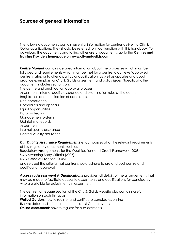## **Sources of general information**

The following documents contain essential information for centres delivering City & Guilds qualifications. They should be referred to in conjunction with this handbook. To download the documents and to find other useful documents, go to the **Centres and Training Providers homepage** on **www.cityandguilds.com**.

*Centre Manual* contains detailed information about the processes which must be followed and requirements which must be met for a centre to achieve 'approved centre' status, or to offer a particular qualification, as well as updates and good practice exemplars for City & Guilds assessment and policy issues. Specifically, the document includes sections on: The centre and qualification approval process

Assessment, internal quality assurance and examination roles at the centre Registration and certification of candidates Non-compliance Complaints and appeals Equal opportunities Data protection Management systems Maintaining records Assessment Internal quality assurance External quality assurance.

*Our Quality Assurance Requirements* encompasses all of the relevant requirements of key regulatory documents such as: Regulatory Arrangements for the Qualifications and Credit Framework (2008) SQA Awarding Body Criteria (2007) NVQ Code of Practice (2006) and sets out the criteria that centres should adhere to pre and post centre and qualification approval.

Access to Assessment & Qualifications provides full details of the arrangements that may be made to facilitate access to assessments and qualifications for candidates who are eligible for adjustments in assessment.

The **centre homepage** section of the City & Guilds website also contains useful information on such things as: **Walled Garden**: how to register and certificate candidates on line **Events**: dates and information on the latest Centre events **Online assessment:** how to register for e-assessments.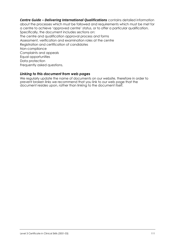*Centre Guide – Delivering International Qualifications* contains detailed information about the processes which must be followed and requirements which must be met for a centre to achieve 'approved centre' status, or to offer a particular qualification. Specifically, the document includes sections on: The centre and qualification approval process and forms Assessment, verification and examination roles at the centre Registration and certification of candidates Non-compliance Complaints and appeals Equal opportunities Data protection Frequently asked questions.

### *Linking to this document from web pages*

We regularly update the name of documents on our website, therefore in order to prevent broken links we recommend that you link to our web page that the document resides upon, rather than linking to the document itself.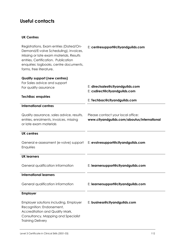# **Useful contacts**

#### **UK Centres**

| Registrations, Exam entries (Dated/On-<br>Demand/E-volve Scheduling), invoices,<br>Missing or late exam materials, Results<br>entries, Certification. Publication<br>enquiries: logbooks, centre documents,<br>forms, free literature. | E: centresupport@cityandguilds.com                                               |
|----------------------------------------------------------------------------------------------------------------------------------------------------------------------------------------------------------------------------------------|----------------------------------------------------------------------------------|
| <b>Quality support (new centres)</b><br>For Sales advice and support<br>For quality assurance                                                                                                                                          | E: directsales@cityandguilds.com<br>E: csdirect@cityandguilds.com                |
| <b>TechBac enquiries</b>                                                                                                                                                                                                               | E: Techbac@cityandguilds.com                                                     |
| <b>International centres</b>                                                                                                                                                                                                           |                                                                                  |
| Quality assurance, sales advice, results,<br>entries, enrolments, invoices, missing<br>or late exam materials                                                                                                                          | Please contact your local office:<br>www.cityandguilds.com/aboutus/international |
| <b>UK</b> centres                                                                                                                                                                                                                      |                                                                                  |
| General e-assessment (e-volve) support<br>Enquiries                                                                                                                                                                                    | E: evolvesupport@cityandguilds.com                                               |
| <b>UK learners</b>                                                                                                                                                                                                                     |                                                                                  |
| General qualification information                                                                                                                                                                                                      | E: learnersupport@cityandguilds.com                                              |
| <b>International learners</b>                                                                                                                                                                                                          |                                                                                  |
| General qualification information                                                                                                                                                                                                      | E: learnersupport@cityandguilds.com                                              |
| <b>Employer</b>                                                                                                                                                                                                                        |                                                                                  |
| Employer solutions including, Employer<br>Recognition: Endorsement,<br>Accreditation and Quality Mark,<br>Consultancy, Mapping and Specialist<br><b>Training Delivery</b>                                                              | E: business@cityandguilds.com                                                    |